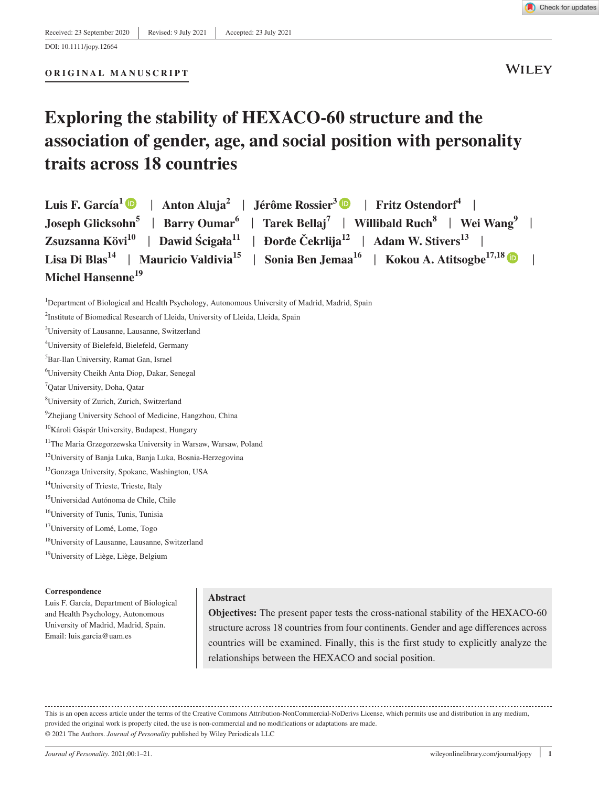**WILEY** 

# **Exploring the stability of HEXACO-60 structure and the association of gender, age, and social position with personality**

# **traits across 18 countries**

| Luis F. García <sup>1</sup> D   Anton Aluja <sup>2</sup>   Jérôme Rossier <sup>3</sup> D   Fritz Ostendorf <sup>4</sup>                    |  |
|--------------------------------------------------------------------------------------------------------------------------------------------|--|
| Joseph Glicksohn <sup>5</sup>   Barry Oumar <sup>6</sup>   Tarek Bellaj <sup>7</sup>   Willibald Ruch <sup>8</sup>   Wei Wang <sup>9</sup> |  |
| Zsuzsanna Kövi <sup>10</sup>   Dawid Ścigała <sup>11</sup>   Đorđe Čekrlija <sup>12</sup>   Adam W. Stivers <sup>13</sup>                  |  |
| Lisa Di Blas <sup>14</sup>   Mauricio Valdivia <sup>15</sup>   Sonia Ben Jemaa <sup>16</sup>   Kokou A. Atitsogbe <sup>17,18</sup>         |  |
| Michel Hansenne <sup>19</sup>                                                                                                              |  |

<sup>&</sup>lt;sup>1</sup>Department of Biological and Health Psychology, Autonomous University of Madrid, Madrid, Spain

- 4 University of Bielefeld, Bielefeld, Germany
- 5 Bar-Ilan University, Ramat Gan, Israel
- 6 University Cheikh Anta Diop, Dakar, Senegal
- 7 Qatar University, Doha, Qatar
- 8 University of Zurich, Zurich, Switzerland
- <sup>9</sup>Zhejiang University School of Medicine, Hangzhou, China
- 10Károli Gáspár University, Budapest, Hungary
- <sup>11</sup>The Maria Grzegorzewska University in Warsaw, Warsaw, Poland
- <sup>12</sup>University of Banja Luka, Banja Luka, Bosnia-Herzegovina
- 13Gonzaga University, Spokane, Washington, USA
- <sup>14</sup>University of Trieste, Trieste, Italy
- 15Universidad Autónoma de Chile, Chile
- 16University of Tunis, Tunis, Tunisia
- 17University of Lomé, Lome, Togo
- 18University of Lausanne, Lausanne, Switzerland
- <sup>19</sup>University of Liège, Liège, Belgium

#### **Correspondence**

Luis F. García, Department of Biological and Health Psychology, Autonomous University of Madrid, Madrid, Spain. Email: [luis.garcia@uam.es](mailto:luis.garcia@uam.es)

## **Abstract**

**Objectives:** The present paper tests the cross-national stability of the HEXACO-60 structure across 18 countries from four continents. Gender and age differences across countries will be examined. Finally, this is the first study to explicitly analyze the relationships between the HEXACO and social position.

This is an open access article under the terms of the [Creative Commons Attribution-NonCommercial-NoDerivs](http://creativecommons.org/licenses/by-nc-nd/4.0/) License, which permits use and distribution in any medium, provided the original work is properly cited, the use is non-commercial and no modifications or adaptations are made. © 2021 The Authors. *Journal of Personality* published by Wiley Periodicals LLC

<sup>&</sup>lt;sup>2</sup>Institute of Biomedical Research of Lleida, University of Lleida, Lleida, Spain

<sup>3</sup> University of Lausanne, Lausanne, Switzerland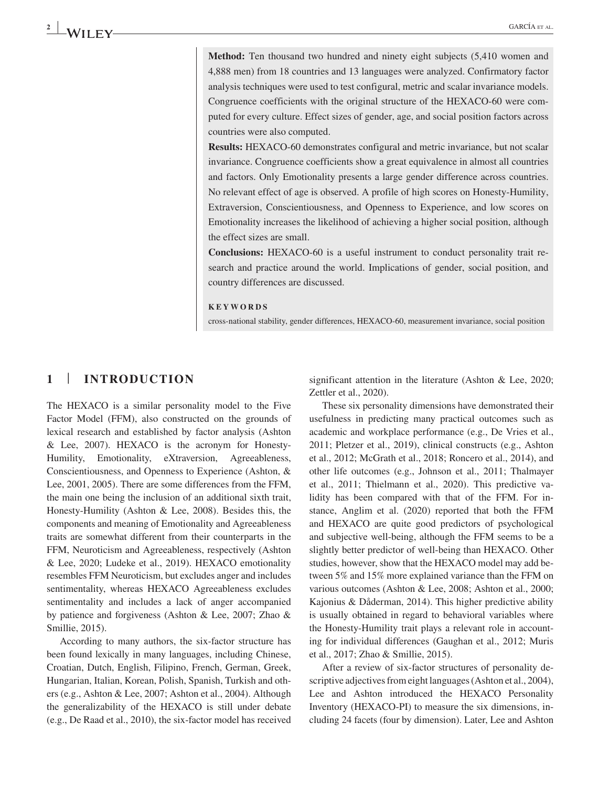**Method:** Ten thousand two hundred and ninety eight subjects (5,410 women and 4,888 men) from 18 countries and 13 languages were analyzed. Confirmatory factor analysis techniques were used to test configural, metric and scalar invariance models. Congruence coefficients with the original structure of the HEXACO-60 were computed for every culture. Effect sizes of gender, age, and social position factors across countries were also computed.

**Results:** HEXACO-60 demonstrates configural and metric invariance, but not scalar invariance. Congruence coefficients show a great equivalence in almost all countries and factors. Only Emotionality presents a large gender difference across countries. No relevant effect of age is observed. A profile of high scores on Honesty-Humility, Extraversion, Conscientiousness, and Openness to Experience, and low scores on Emotionality increases the likelihood of achieving a higher social position, although the effect sizes are small.

**Conclusions:** HEXACO-60 is a useful instrument to conduct personality trait research and practice around the world. Implications of gender, social position, and country differences are discussed.

#### **KEYWORDS**

cross-national stability, gender differences, HEXACO-60, measurement invariance, social position

## **1** | **INTRODUCTION**

The HEXACO is a similar personality model to the Five Factor Model (FFM), also constructed on the grounds of lexical research and established by factor analysis (Ashton & Lee, 2007). HEXACO is the acronym for Honesty-Humility, Emotionality, eXtraversion, Agreeableness, Conscientiousness, and Openness to Experience (Ashton, & Lee, 2001, 2005). There are some differences from the FFM, the main one being the inclusion of an additional sixth trait, Honesty-Humility (Ashton & Lee, 2008). Besides this, the components and meaning of Emotionality and Agreeableness traits are somewhat different from their counterparts in the FFM, Neuroticism and Agreeableness, respectively (Ashton & Lee, 2020; Ludeke et al., 2019). HEXACO emotionality resembles FFM Neuroticism, but excludes anger and includes sentimentality, whereas HEXACO Agreeableness excludes sentimentality and includes a lack of anger accompanied by patience and forgiveness (Ashton & Lee, 2007; Zhao & Smillie, 2015).

According to many authors, the six-factor structure has been found lexically in many languages, including Chinese, Croatian, Dutch, English, Filipino, French, German, Greek, Hungarian, Italian, Korean, Polish, Spanish, Turkish and others (e.g., Ashton & Lee, 2007; Ashton et al., 2004). Although the generalizability of the HEXACO is still under debate (e.g., De Raad et al., 2010), the six-factor model has received

significant attention in the literature (Ashton & Lee, 2020; Zettler et al., 2020).

These six personality dimensions have demonstrated their usefulness in predicting many practical outcomes such as academic and workplace performance (e.g., De Vries et al., 2011; Pletzer et al., 2019), clinical constructs (e.g., Ashton et al., 2012; McGrath et al., 2018; Roncero et al., 2014), and other life outcomes (e.g., Johnson et al., 2011; Thalmayer et al., 2011; Thielmann et al., 2020). This predictive validity has been compared with that of the FFM. For instance, Anglim et al. (2020) reported that both the FFM and HEXACO are quite good predictors of psychological and subjective well-being, although the FFM seems to be a slightly better predictor of well-being than HEXACO. Other studies, however, show that the HEXACO model may add between 5% and 15% more explained variance than the FFM on various outcomes (Ashton & Lee, 2008; Ashton et al., 2000; Kajonius & Dåderman, 2014). This higher predictive ability is usually obtained in regard to behavioral variables where the Honesty-Humility trait plays a relevant role in accounting for individual differences (Gaughan et al., 2012; Muris et al., 2017; Zhao & Smillie, 2015).

After a review of six-factor structures of personality descriptive adjectives from eight languages (Ashton et al., 2004), Lee and Ashton introduced the HEXACO Personality Inventory (HEXACO-PI) to measure the six dimensions, including 24 facets (four by dimension). Later, Lee and Ashton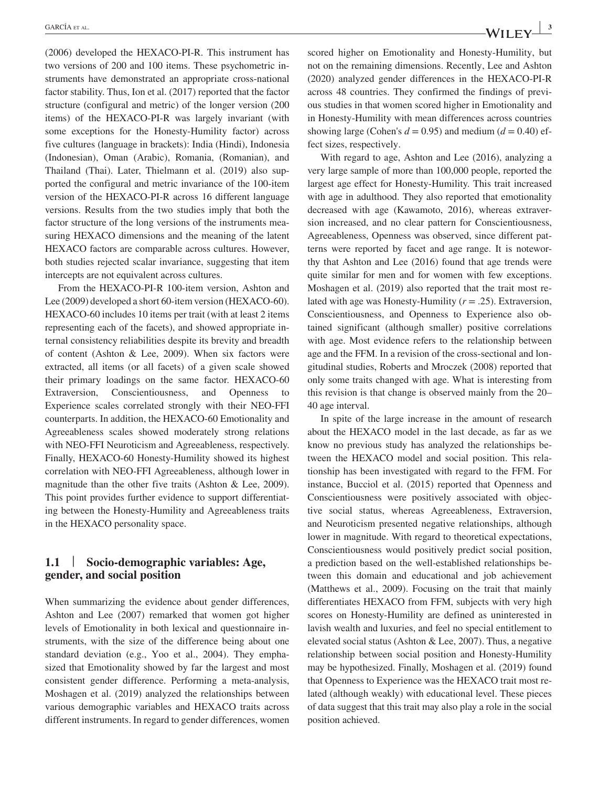(2006) developed the HEXACO-PI-R. This instrument has two versions of 200 and 100 items. These psychometric instruments have demonstrated an appropriate cross-national factor stability. Thus, Ion et al. (2017) reported that the factor structure (configural and metric) of the longer version (200 items) of the HEXACO-PI-R was largely invariant (with some exceptions for the Honesty-Humility factor) across five cultures (language in brackets): India (Hindi), Indonesia (Indonesian), Oman (Arabic), Romania, (Romanian), and Thailand (Thai). Later, Thielmann et al. (2019) also supported the configural and metric invariance of the 100-item version of the HEXACO-PI-R across 16 different language versions. Results from the two studies imply that both the factor structure of the long versions of the instruments measuring HEXACO dimensions and the meaning of the latent HEXACO factors are comparable across cultures. However, both studies rejected scalar invariance, suggesting that item intercepts are not equivalent across cultures.

From the HEXACO-PI-R 100-item version, Ashton and Lee (2009) developed a short 60-item version (HEXACO-60). HEXACO-60 includes 10 items per trait (with at least 2 items representing each of the facets), and showed appropriate internal consistency reliabilities despite its brevity and breadth of content (Ashton & Lee, 2009). When six factors were extracted, all items (or all facets) of a given scale showed their primary loadings on the same factor. HEXACO-60 Extraversion, Conscientiousness, and Openness to Experience scales correlated strongly with their NEO-FFI counterparts. In addition, the HEXACO-60 Emotionality and Agreeableness scales showed moderately strong relations with NEO-FFI Neuroticism and Agreeableness, respectively. Finally, HEXACO-60 Honesty-Humility showed its highest correlation with NEO-FFI Agreeableness, although lower in magnitude than the other five traits (Ashton & Lee, 2009). This point provides further evidence to support differentiating between the Honesty-Humility and Agreeableness traits in the HEXACO personality space.

## **1.1** | **Socio-demographic variables: Age, gender, and social position**

When summarizing the evidence about gender differences, Ashton and Lee (2007) remarked that women got higher levels of Emotionality in both lexical and questionnaire instruments, with the size of the difference being about one standard deviation (e.g., Yoo et al., 2004). They emphasized that Emotionality showed by far the largest and most consistent gender difference. Performing a meta-analysis, Moshagen et al. (2019) analyzed the relationships between various demographic variables and HEXACO traits across different instruments. In regard to gender differences, women

scored higher on Emotionality and Honesty-Humility, but not on the remaining dimensions. Recently, Lee and Ashton (2020) analyzed gender differences in the HEXACO-PI-R across 48 countries. They confirmed the findings of previous studies in that women scored higher in Emotionality and in Honesty-Humility with mean differences across countries showing large (Cohen's  $d = 0.95$ ) and medium ( $d = 0.40$ ) effect sizes, respectively.

With regard to age, Ashton and Lee (2016), analyzing a very large sample of more than 100,000 people, reported the largest age effect for Honesty-Humility. This trait increased with age in adulthood. They also reported that emotionality decreased with age (Kawamoto, 2016), whereas extraversion increased, and no clear pattern for Conscientiousness, Agreeableness, Openness was observed, since different patterns were reported by facet and age range. It is noteworthy that Ashton and Lee (2016) found that age trends were quite similar for men and for women with few exceptions. Moshagen et al. (2019) also reported that the trait most related with age was Honesty-Humility (*r* = .25). Extraversion, Conscientiousness, and Openness to Experience also obtained significant (although smaller) positive correlations with age. Most evidence refers to the relationship between age and the FFM. In a revision of the cross-sectional and longitudinal studies, Roberts and Mroczek (2008) reported that only some traits changed with age. What is interesting from this revision is that change is observed mainly from the 20– 40 age interval.

In spite of the large increase in the amount of research about the HEXACO model in the last decade, as far as we know no previous study has analyzed the relationships between the HEXACO model and social position. This relationship has been investigated with regard to the FFM. For instance, Bucciol et al. (2015) reported that Openness and Conscientiousness were positively associated with objective social status, whereas Agreeableness, Extraversion, and Neuroticism presented negative relationships, although lower in magnitude. With regard to theoretical expectations, Conscientiousness would positively predict social position, a prediction based on the well-established relationships between this domain and educational and job achievement (Matthews et al., 2009). Focusing on the trait that mainly differentiates HEXACO from FFM, subjects with very high scores on Honesty-Humility are defined as uninterested in lavish wealth and luxuries, and feel no special entitlement to elevated social status (Ashton & Lee, 2007). Thus, a negative relationship between social position and Honesty-Humility may be hypothesized. Finally, Moshagen et al. (2019) found that Openness to Experience was the HEXACO trait most related (although weakly) with educational level. These pieces of data suggest that this trait may also play a role in the social position achieved.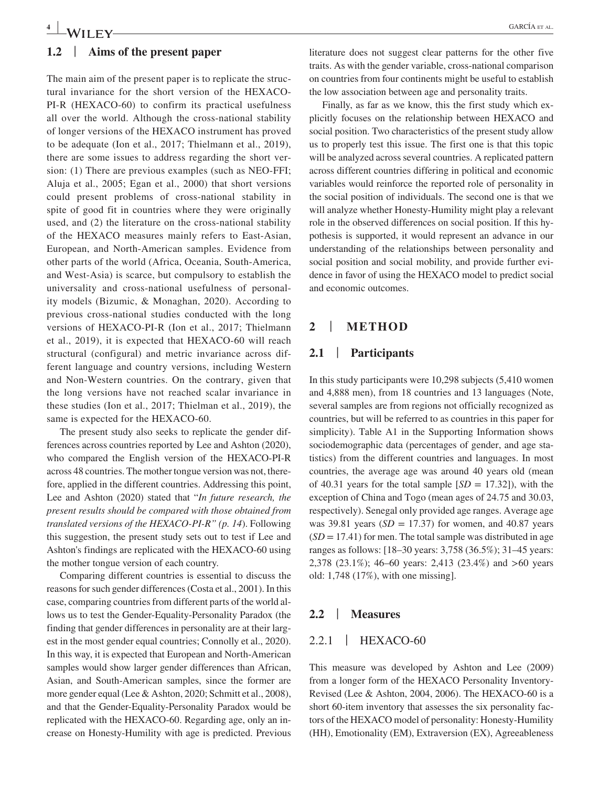#### **1.2** | **Aims of the present paper**

The main aim of the present paper is to replicate the structural invariance for the short version of the HEXACO-PI-R (HEXACO-60) to confirm its practical usefulness all over the world. Although the cross-national stability of longer versions of the HEXACO instrument has proved to be adequate (Ion et al., 2017; Thielmann et al., 2019), there are some issues to address regarding the short version: (1) There are previous examples (such as NEO-FFI; Aluja et al., 2005; Egan et al., 2000) that short versions could present problems of cross-national stability in spite of good fit in countries where they were originally used, and (2) the literature on the cross-national stability of the HEXACO measures mainly refers to East-Asian, European, and North-American samples. Evidence from other parts of the world (Africa, Oceania, South-America, and West-Asia) is scarce, but compulsory to establish the universality and cross-national usefulness of personality models (Bizumic, & Monaghan, 2020). According to previous cross-national studies conducted with the long versions of HEXACO-PI-R (Ion et al., 2017; Thielmann et al., 2019), it is expected that HEXACO-60 will reach structural (configural) and metric invariance across different language and country versions, including Western and Non-Western countries. On the contrary, given that the long versions have not reached scalar invariance in these studies (Ion et al., 2017; Thielman et al., 2019), the same is expected for the HEXACO-60.

The present study also seeks to replicate the gender differences across countries reported by Lee and Ashton (2020), who compared the English version of the HEXACO-PI-R across 48 countries. The mother tongue version was not, therefore, applied in the different countries. Addressing this point, Lee and Ashton (2020) stated that "*In future research, the present results should be compared with those obtained from translated versions of the HEXACO-PI-R" (p. 14*). Following this suggestion, the present study sets out to test if Lee and Ashton's findings are replicated with the HEXACO-60 using the mother tongue version of each country.

Comparing different countries is essential to discuss the reasons for such gender differences (Costa et al., 2001). In this case, comparing countries from different parts of the world allows us to test the Gender-Equality-Personality Paradox (the finding that gender differences in personality are at their largest in the most gender equal countries; Connolly et al., 2020). In this way, it is expected that European and North-American samples would show larger gender differences than African, Asian, and South-American samples, since the former are more gender equal (Lee & Ashton, 2020; Schmitt et al., 2008), and that the Gender-Equality-Personality Paradox would be replicated with the HEXACO-60. Regarding age, only an increase on Honesty-Humility with age is predicted. Previous literature does not suggest clear patterns for the other five traits. As with the gender variable, cross-national comparison on countries from four continents might be useful to establish the low association between age and personality traits.

Finally, as far as we know, this the first study which explicitly focuses on the relationship between HEXACO and social position. Two characteristics of the present study allow us to properly test this issue. The first one is that this topic will be analyzed across several countries. A replicated pattern across different countries differing in political and economic variables would reinforce the reported role of personality in the social position of individuals. The second one is that we will analyze whether Honesty-Humility might play a relevant role in the observed differences on social position. If this hypothesis is supported, it would represent an advance in our understanding of the relationships between personality and social position and social mobility, and provide further evidence in favor of using the HEXACO model to predict social and economic outcomes.

#### **2** | **METHOD**

#### **2.1** | **Participants**

In this study participants were 10,298 subjects (5,410 women and 4,888 men), from 18 countries and 13 languages (Note, several samples are from regions not officially recognized as countries, but will be referred to as countries in this paper for simplicity). Table A1 in the Supporting Information shows sociodemographic data (percentages of gender, and age statistics) from the different countries and languages. In most countries, the average age was around 40 years old (mean of 40.31 years for the total sample  $[SD = 17.32]$ ), with the exception of China and Togo (mean ages of 24.75 and 30.03, respectively). Senegal only provided age ranges. Average age was 39.81 years  $(SD = 17.37)$  for women, and 40.87 years  $(SD = 17.41)$  for men. The total sample was distributed in age ranges as follows: [18–30 years: 3,758 (36.5%); 31–45 years: 2,378 (23.1%); 46–60 years: 2,413 (23.4%) and >60 years old: 1,748 (17%), with one missing].

#### **2.2** | **Measures**

#### 2.2.1 | HEXACO-60

This measure was developed by Ashton and Lee (2009) from a longer form of the HEXACO Personality Inventory-Revised (Lee & Ashton, 2004, 2006). The HEXACO-60 is a short 60-item inventory that assesses the six personality factors of the HEXACO model of personality: Honesty-Humility (HH), Emotionality (EM), Extraversion (EX), Agreeableness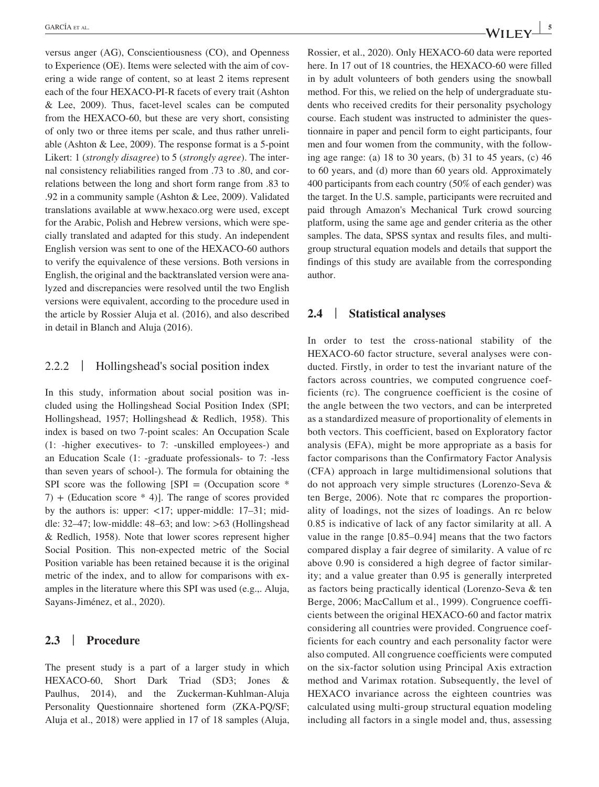versus anger (AG), Conscientiousness (CO), and Openness to Experience (OE). Items were selected with the aim of covering a wide range of content, so at least 2 items represent each of the four HEXACO-PI-R facets of every trait (Ashton & Lee, 2009). Thus, facet-level scales can be computed from the HEXACO-60, but these are very short, consisting of only two or three items per scale, and thus rather unreliable (Ashton & Lee, 2009). The response format is a 5-point Likert: 1 (*strongly disagree*) to 5 (*strongly agree*). The internal consistency reliabilities ranged from .73 to .80, and correlations between the long and short form range from .83 to .92 in a community sample (Ashton & Lee, 2009). Validated translations available at [www.hexaco.org](http://www.hexaco.org) were used, except for the Arabic, Polish and Hebrew versions, which were specially translated and adapted for this study. An independent English version was sent to one of the HEXACO-60 authors to verify the equivalence of these versions. Both versions in English, the original and the backtranslated version were analyzed and discrepancies were resolved until the two English versions were equivalent, according to the procedure used in the article by Rossier Aluja et al. (2016), and also described in detail in Blanch and Aluja (2016).

#### 2.2.2 | Hollingshead's social position index

In this study, information about social position was included using the Hollingshead Social Position Index (SPI; Hollingshead, 1957; Hollingshead & Redlich, 1958). This index is based on two 7-point scales: An Occupation Scale (1: -higher executives- to 7: -unskilled employees-) and an Education Scale (1: -graduate professionals- to 7: -less than seven years of school-). The formula for obtaining the SPI score was the following  $[SPI = (Occu)$  score  $*$  $7) +$  (Education score  $*$  4)]. The range of scores provided by the authors is: upper: <17; upper-middle: 17–31; middle: 32–47; low-middle: 48–63; and low: >63 (Hollingshead & Redlich, 1958). Note that lower scores represent higher Social Position. This non-expected metric of the Social Position variable has been retained because it is the original metric of the index, and to allow for comparisons with examples in the literature where this SPI was used (e.g.,. Aluja, Sayans-Jiménez, et al., 2020).

#### **2.3** | **Procedure**

The present study is a part of a larger study in which HEXACO-60, Short Dark Triad (SD3; Jones & Paulhus, 2014), and the Zuckerman-Kuhlman-Aluja Personality Questionnaire shortened form (ZKA-PQ/SF; Aluja et al., 2018) were applied in 17 of 18 samples (Aluja, Rossier, et al., 2020). Only HEXACO-60 data were reported here. In 17 out of 18 countries, the HEXACO-60 were filled in by adult volunteers of both genders using the snowball method. For this, we relied on the help of undergraduate students who received credits for their personality psychology course. Each student was instructed to administer the questionnaire in paper and pencil form to eight participants, four men and four women from the community, with the following age range: (a) 18 to 30 years, (b) 31 to 45 years, (c) 46 to 60 years, and (d) more than 60 years old. Approximately 400 participants from each country (50% of each gender) was the target. In the U.S. sample, participants were recruited and paid through Amazon's Mechanical Turk crowd sourcing platform, using the same age and gender criteria as the other samples. The data, SPSS syntax and results files, and multigroup structural equation models and details that support the findings of this study are available from the corresponding author.

#### **2.4** | **Statistical analyses**

In order to test the cross-national stability of the HEXACO-60 factor structure, several analyses were conducted. Firstly, in order to test the invariant nature of the factors across countries, we computed congruence coefficients (rc). The congruence coefficient is the cosine of the angle between the two vectors, and can be interpreted as a standardized measure of proportionality of elements in both vectors. This coefficient, based on Exploratory factor analysis (EFA), might be more appropriate as a basis for factor comparisons than the Confirmatory Factor Analysis (CFA) approach in large multidimensional solutions that do not approach very simple structures (Lorenzo-Seva & ten Berge, 2006). Note that rc compares the proportionality of loadings, not the sizes of loadings. An rc below 0.85 is indicative of lack of any factor similarity at all. A value in the range [0.85–0.94] means that the two factors compared display a fair degree of similarity. A value of rc above 0.90 is considered a high degree of factor similarity; and a value greater than 0.95 is generally interpreted as factors being practically identical (Lorenzo-Seva & ten Berge, 2006; MacCallum et al., 1999). Congruence coefficients between the original HEXACO-60 and factor matrix considering all countries were provided. Congruence coefficients for each country and each personality factor were also computed. All congruence coefficients were computed on the six-factor solution using Principal Axis extraction method and Varimax rotation. Subsequently, the level of HEXACO invariance across the eighteen countries was calculated using multi-group structural equation modeling including all factors in a single model and, thus, assessing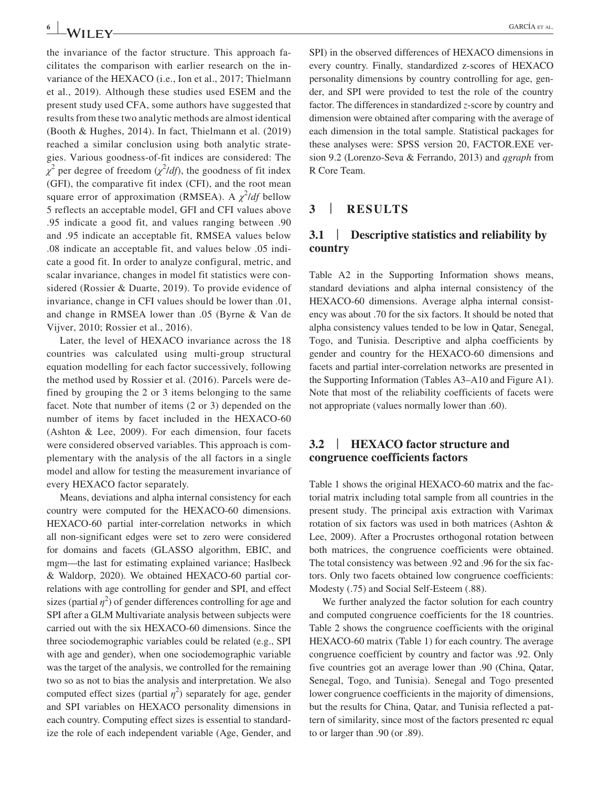the invariance of the factor structure. This approach facilitates the comparison with earlier research on the invariance of the HEXACO (i.e., Ion et al., 2017; Thielmann et al., 2019). Although these studies used ESEM and the present study used CFA, some authors have suggested that results from these two analytic methods are almost identical (Booth & Hughes, 2014). In fact, Thielmann et al. (2019) reached a similar conclusion using both analytic strategies. Various goodness-of-fit indices are considered: The  $\chi^2$  per degree of freedom ( $\chi^2$ /*df*), the goodness of fit index (GFI), the comparative fit index (CFI), and the root mean square error of approximation (RMSEA). A  $\chi^2$ /*df* bellow 5 reflects an acceptable model, GFI and CFI values above .95 indicate a good fit, and values ranging between .90 and .95 indicate an acceptable fit, RMSEA values below .08 indicate an acceptable fit, and values below .05 indicate a good fit. In order to analyze configural, metric, and scalar invariance, changes in model fit statistics were considered (Rossier & Duarte, 2019). To provide evidence of invariance, change in CFI values should be lower than .01, and change in RMSEA lower than .05 (Byrne & Van de Vijver, 2010; Rossier et al., 2016).

Later, the level of HEXACO invariance across the 18 countries was calculated using multi-group structural equation modelling for each factor successively, following the method used by Rossier et al. (2016). Parcels were defined by grouping the 2 or 3 items belonging to the same facet. Note that number of items (2 or 3) depended on the number of items by facet included in the HEXACO-60 (Ashton & Lee, 2009). For each dimension, four facets were considered observed variables. This approach is complementary with the analysis of the all factors in a single model and allow for testing the measurement invariance of every HEXACO factor separately.

Means, deviations and alpha internal consistency for each country were computed for the HEXACO-60 dimensions. HEXACO-60 partial inter-correlation networks in which all non-significant edges were set to zero were considered for domains and facets (GLASSO algorithm, EBIC, and mgm—the last for estimating explained variance; Haslbeck & Waldorp, 2020). We obtained HEXACO-60 partial correlations with age controlling for gender and SPI, and effect sizes (partial  $\eta^2$ ) of gender differences controlling for age and SPI after a GLM Multivariate analysis between subjects were carried out with the six HEXACO-60 dimensions. Since the three sociodemographic variables could be related (e.g., SPI with age and gender), when one sociodemographic variable was the target of the analysis, we controlled for the remaining two so as not to bias the analysis and interpretation. We also computed effect sizes (partial  $\eta^2$ ) separately for age, gender and SPI variables on HEXACO personality dimensions in each country. Computing effect sizes is essential to standardize the role of each independent variable (Age, Gender, and

SPI) in the observed differences of HEXACO dimensions in every country. Finally, standardized z-scores of HEXACO personality dimensions by country controlling for age, gender, and SPI were provided to test the role of the country factor. The differences in standardized *z*-score by country and dimension were obtained after comparing with the average of each dimension in the total sample. Statistical packages for these analyses were: SPSS version 20, FACTOR.EXE version 9.2 (Lorenzo-Seva & Ferrando, 2013) and *qgraph* from R Core Team.

## **3** | **RESULTS**

## **3.1** | **Descriptive statistics and reliability by country**

Table A2 in the Supporting Information shows means, standard deviations and alpha internal consistency of the HEXACO-60 dimensions. Average alpha internal consistency was about .70 for the six factors. It should be noted that alpha consistency values tended to be low in Qatar, Senegal, Togo, and Tunisia. Descriptive and alpha coefficients by gender and country for the HEXACO-60 dimensions and facets and partial inter-correlation networks are presented in the Supporting Information (Tables A3–A10 and Figure A1). Note that most of the reliability coefficients of facets were not appropriate (values normally lower than .60).

#### **3.2** | **HEXACO factor structure and congruence coefficients factors**

Table 1 shows the original HEXACO-60 matrix and the factorial matrix including total sample from all countries in the present study. The principal axis extraction with Varimax rotation of six factors was used in both matrices (Ashton & Lee, 2009). After a Procrustes orthogonal rotation between both matrices, the congruence coefficients were obtained. The total consistency was between .92 and .96 for the six factors. Only two facets obtained low congruence coefficients: Modesty (.75) and Social Self-Esteem (.88).

We further analyzed the factor solution for each country and computed congruence coefficients for the 18 countries. Table 2 shows the congruence coefficients with the original HEXACO-60 matrix (Table 1) for each country. The average congruence coefficient by country and factor was .92. Only five countries got an average lower than .90 (China, Qatar, Senegal, Togo, and Tunisia). Senegal and Togo presented lower congruence coefficients in the majority of dimensions, but the results for China, Qatar, and Tunisia reflected a pattern of similarity, since most of the factors presented rc equal to or larger than .90 (or .89).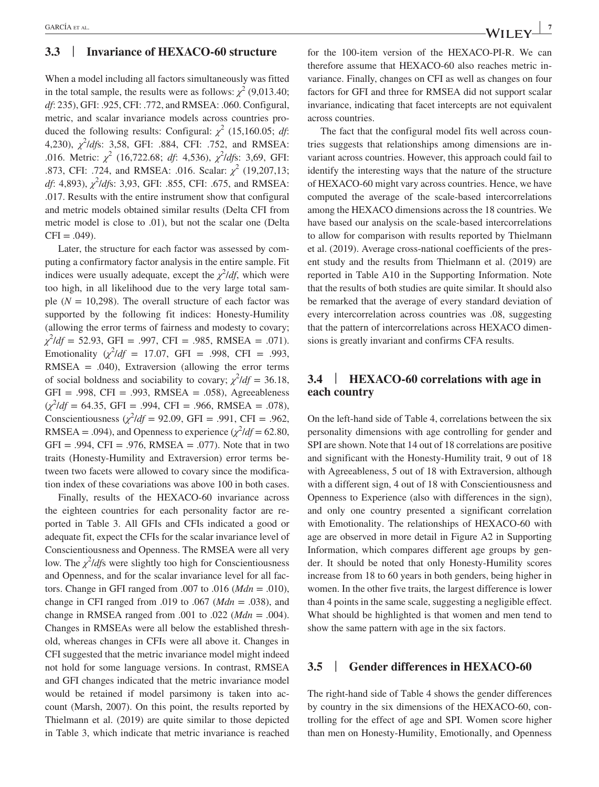## **3.3** | **Invariance of HEXACO-60 structure**

When a model including all factors simultaneously was fitted in the total sample, the results were as follows:  $\chi^2$  (9,013.40; *df*: 235), GFI: .925, CFI: .772, and RMSEA: .060. Configural, metric, and scalar invariance models across countries produced the following results: Configural:  $\chi^2$  (15,160.05; *df*: 4,230), *χ* 2 /*df*s: 3,58, GFI: .884, CFI: .752, and RMSEA: .016. Metric: *χ* 2 (16,722.68; *df*: 4,536), *χ* 2 /*df*s: 3,69, GFI: .873, CFI: .724, and RMSEA: .016. Scalar: *χ* 2 (19,207,13; *df*: 4,893), *χ* 2 /*df*s: 3,93, GFI: .855, CFI: .675, and RMSEA: .017. Results with the entire instrument show that configural and metric models obtained similar results (Delta CFI from metric model is close to .01), but not the scalar one (Delta  $CFI = .049$ .

Later, the structure for each factor was assessed by computing a confirmatory factor analysis in the entire sample. Fit indices were usually adequate, except the  $\chi^2/df$ , which were too high, in all likelihood due to the very large total sample  $(N = 10,298)$ . The overall structure of each factor was supported by the following fit indices: Honesty-Humility (allowing the error terms of fairness and modesty to covary; *χ* 2 /*df* = 52.93, GFI = .997, CFI = .985, RMSEA = .071). Emotionality  $(\chi^2/df = 17.07, \text{ GFI} = .998, \text{ CFI} = .993,$ RMSEA  $= .040$ ), Extraversion (allowing the error terms of social boldness and sociability to covary;  $\chi^2/df = 36.18$ ,  $GFI = .998$ ,  $CFI = .993$ , RMSEA = .058), Agreeableness (*χ* 2 /*df* = 64.35, GFI = .994, CFI = .966, RMSEA = .078), Conscientiousness  $(\chi^2/df = 92.09, \text{ GFI} = .991, \text{ CFI} = .962,$ RMSEA = .094), and Openness to experience  $(\chi^2/df = 62.80,$  $GFI = .994$ ,  $CFI = .976$ , RMSEA = .077). Note that in two traits (Honesty-Humility and Extraversion) error terms between two facets were allowed to covary since the modification index of these covariations was above 100 in both cases.

Finally, results of the HEXACO-60 invariance across the eighteen countries for each personality factor are reported in Table 3. All GFIs and CFIs indicated a good or adequate fit, expect the CFIs for the scalar invariance level of Conscientiousness and Openness. The RMSEA were all very low. The *χ* 2 /*df*s were slightly too high for Conscientiousness and Openness, and for the scalar invariance level for all factors. Change in GFI ranged from .007 to .016 (*Mdn* = .010), change in CFI ranged from .019 to .067 (*Mdn* = .038), and change in RMSEA ranged from .001 to .022 (*Mdn* = .004). Changes in RMSEAs were all below the established threshold, whereas changes in CFIs were all above it. Changes in CFI suggested that the metric invariance model might indeed not hold for some language versions. In contrast, RMSEA and GFI changes indicated that the metric invariance model would be retained if model parsimony is taken into account (Marsh, 2007). On this point, the results reported by Thielmann et al. (2019) are quite similar to those depicted in Table 3, which indicate that metric invariance is reached

for the 100-item version of the HEXACO-PI-R. We can therefore assume that HEXACO-60 also reaches metric invariance. Finally, changes on CFI as well as changes on four factors for GFI and three for RMSEA did not support scalar invariance, indicating that facet intercepts are not equivalent across countries.

The fact that the configural model fits well across countries suggests that relationships among dimensions are invariant across countries. However, this approach could fail to identify the interesting ways that the nature of the structure of HEXACO-60 might vary across countries. Hence, we have computed the average of the scale-based intercorrelations among the HEXACO dimensions across the 18 countries. We have based our analysis on the scale-based intercorrelations to allow for comparison with results reported by Thielmann et al. (2019). Average cross-national coefficients of the present study and the results from Thielmann et al. (2019) are reported in Table A10 in the Supporting Information. Note that the results of both studies are quite similar. It should also be remarked that the average of every standard deviation of every intercorrelation across countries was .08, suggesting that the pattern of intercorrelations across HEXACO dimensions is greatly invariant and confirms CFA results.

#### **3.4** | **HEXACO-60 correlations with age in each country**

On the left-hand side of Table 4, correlations between the six personality dimensions with age controlling for gender and SPI are shown. Note that 14 out of 18 correlations are positive and significant with the Honesty-Humility trait, 9 out of 18 with Agreeableness, 5 out of 18 with Extraversion, although with a different sign, 4 out of 18 with Conscientiousness and Openness to Experience (also with differences in the sign), and only one country presented a significant correlation with Emotionality. The relationships of HEXACO-60 with age are observed in more detail in Figure A2 in Supporting Information, which compares different age groups by gender. It should be noted that only Honesty-Humility scores increase from 18 to 60 years in both genders, being higher in women. In the other five traits, the largest difference is lower than 4 points in the same scale, suggesting a negligible effect. What should be highlighted is that women and men tend to show the same pattern with age in the six factors.

## **3.5** | **Gender differences in HEXACO-60**

The right-hand side of Table 4 shows the gender differences by country in the six dimensions of the HEXACO-60, controlling for the effect of age and SPI. Women score higher than men on Honesty-Humility, Emotionally, and Openness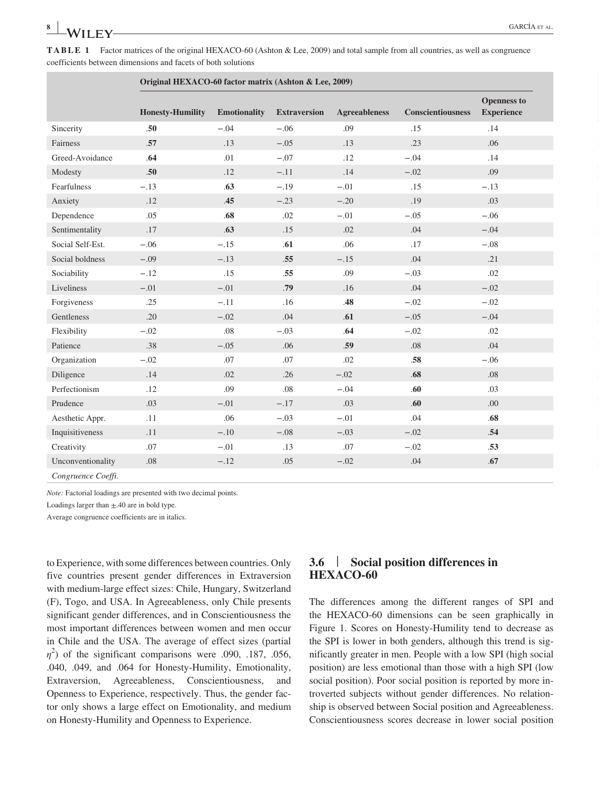**TABLE 1** Factor matrices of the original HEXACO-60 (Ashton & Lee, 2009) and total sample from all countries, as well as congruence coefficients between dimensions and facets of both solutions

|                   | Original HEXACO-60 factor matrix (Ashton & Lee, 2009) |              |              |               |                          |                                         |
|-------------------|-------------------------------------------------------|--------------|--------------|---------------|--------------------------|-----------------------------------------|
|                   | <b>Honesty-Humility</b>                               | Emotionality | Extraversion | Agreeableness | <b>Conscientiousness</b> | <b>Openness to</b><br><b>Experience</b> |
| Sincerity         | .50 <sub>1</sub>                                      | $-.04$       | $-.06$       | .09           | .15                      | .14                                     |
| Fairness          | .57                                                   | .13          | $-.05$       | .13           | .23                      | .06                                     |
| Greed-Avoidance   | .64                                                   | .01          | $-.07$       | .12           | $-.04$                   | .14                                     |
| Modesty           | .50                                                   | .12          | $-.11$       | .14           | $-.02$                   | .09                                     |
| Fearfulness       | $-.13$                                                | .63          | $-.19$       | $-.01$        | .15                      | $-.13$                                  |
| Anxiety           | .12                                                   | .45          | $-.23$       | $-.20$        | .19                      | .03                                     |
| Dependence        | .05                                                   | .68          | .02          | $-.01$        | $-.05$                   | $-.06$                                  |
| Sentimentality    | .17                                                   | .63          | .15          | .02           | .04                      | $-.04$                                  |
| Social Self-Est.  | $-.06$                                                | $-.15$       | .61          | .06           | .17                      | $-.08$                                  |
| Social boldness   | $-.09$                                                | $-.13$       | .55          | $-.15$        | .04                      | .21                                     |
| Sociability       | $-.12$                                                | .15          | .55          | .09           | $-.03$                   | .02                                     |
| Liveliness        | $-.01$                                                | $-.01$       | .79          | .16           | .04                      | $-.02$                                  |
| Forgiveness       | .25                                                   | $-.11$       | .16          | .48           | $-.02$                   | $-.02$                                  |
| Gentleness        | .20                                                   | $-.02$       | .04          | .61           | $-.05$                   | $-.04$                                  |
| Flexibility       | $-.02$                                                | .08          | $-.03$       | .64           | $-.02$                   | .02                                     |
| Patience          | .38                                                   | $-.05$       | .06          | .59           | $.08\,$                  | .04                                     |
| Organization      | $-.02$                                                | .07          | .07          | .02           | $.58\,$                  | $-.06$                                  |
| Diligence         | .14                                                   | .02          | .26          | $-.02$        | $.68$                    | $.08\,$                                 |
| Perfectionism     | .12                                                   | .09          | .08          | $-.04$        | .60                      | .03                                     |
| Prudence          | .03                                                   | $-.01$       | $-.17$       | .03           | .60                      | .00.                                    |
| Aesthetic Appr.   | .11                                                   | .06          | $-.03$       | $-.01$        | .04                      | .68                                     |
| Inquisitiveness   | .11                                                   | $-.10$       | $-.08$       | $-.03$        | $-.02$                   | .54                                     |
| Creativity        | .07                                                   | $-.01$       | .13          | .07           | $-.02$                   | .53                                     |
| Unconventionality | .08                                                   | $-.12$       | .05          | $-.02$        | .04                      | .67                                     |

*Congruence Coeffi*. .*93* .*96* .*94* .*96* .*92* .*96* .*94*

*Note:* Factorial loadings are presented with two decimal points.

Loadings larger than  $\pm$ .40 are in bold type.

Average congruence coefficients are in italics.

to Experience, with some differences between countries. Only five countries present gender differences in Extraversion with medium-large effect sizes: Chile, Hungary, Switzerland (F), Togo, and USA. In Agreeableness, only Chile presents significant gender differences, and in Conscientiousness the most important differences between women and men occur in Chile and the USA. The average of effect sizes (partial  $\eta^2$ ) of the significant comparisons were .090, .187, .056, .040, .049, and .064 for Honesty-Humility, Emotionality, Extraversion, Agreeableness, Conscientiousness, and Openness to Experience, respectively. Thus, the gender factor only shows a large effect on Emotionality, and medium on Honesty-Humility and Openness to Experience.

## **3.6** | **Social position differences in HEXACO-60**

The differences among the different ranges of SPI and the HEXACO-60 dimensions can be seen graphically in Figure 1. Scores on Honesty-Humility tend to decrease as the SPI is lower in both genders, although this trend is significantly greater in men. People with a low SPI (high social position) are less emotional than those with a high SPI (low social position). Poor social position is reported by more introverted subjects without gender differences. No relationship is observed between Social position and Agreeableness. Conscientiousness scores decrease in lower social position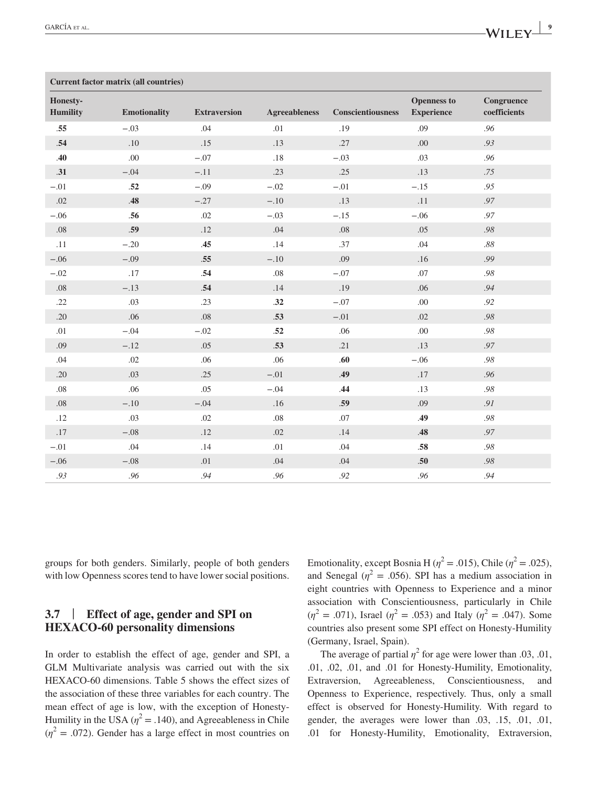|                      | Current factor matrix (all countries) |                     |                      |                   |                                         |                            |
|----------------------|---------------------------------------|---------------------|----------------------|-------------------|-----------------------------------------|----------------------------|
| Honesty-<br>Humility | Emotionality                          | <b>Extraversion</b> | <b>Agreeableness</b> | Conscientiousness | <b>Openness to</b><br><b>Experience</b> | Congruence<br>coefficients |
| .55                  | $-.03$                                | .04                 | .01                  | .19               | .09                                     | .96                        |
| .54                  | .10                                   | .15                 | .13                  | .27               | .00.                                    | .93                        |
| .40                  | .00.                                  | $-.07$              | .18                  | $-.03$            | .03                                     | .96                        |
| .31                  | $-.04$                                | $-.11$              | .23                  | .25               | .13                                     | .75                        |
| $-.01$               | .52                                   | $-.09$              | $-.02$               | $-.01$            | $-.15$                                  | .95                        |
| .02                  | .48                                   | $-.27$              | $-.10$               | .13               | .11                                     | .97                        |
| $-.06$               | .56                                   | .02                 | $-.03$               | $-.15$            | $-.06$                                  | .97                        |
| .08                  | .59                                   | .12                 | .04                  | .08               | .05                                     | $.98\,$                    |
| .11                  | $-.20$                                | .45                 | .14                  | .37               | .04                                     | $.88\,$                    |
| $-.06$               | $-.09$                                | .55                 | $-.10$               | .09               | .16                                     | .99                        |
| $-.02$               | .17                                   | .54                 | .08                  | $-.07$            | .07                                     | $.98\,$                    |
| .08                  | $-.13$                                | .54                 | .14                  | .19               | .06                                     | .94                        |
| .22                  | .03                                   | .23                 | .32                  | $-.07$            | .00.                                    | .92                        |
| .20                  | .06                                   | .08                 | .53                  | $-.01$            | .02                                     | .98                        |
| .01                  | $-.04$                                | $-.02$              | .52                  | .06               | .00.                                    | $.98\,$                    |
| .09                  | $-.12$                                | .05                 | .53                  | .21               | .13                                     | .97                        |
| .04                  | .02                                   | .06                 | .06                  | .60               | $-.06$                                  | $.98\,$                    |
| .20                  | .03                                   | .25                 | $-.01$               | .49               | .17                                     | .96                        |
| .08                  | .06                                   | .05                 | $-.04$               | .44               | .13                                     | $.98\,$                    |
| .08                  | $-.10$                                | $-.04$              | .16                  | .59               | .09                                     | .91                        |
| .12                  | .03                                   | .02                 | $.08\,$              | .07               | .49                                     | $.98\,$                    |
| .17                  | $-.08$                                | .12                 | .02                  | .14               | .48                                     | .97                        |
| $-.01$               | .04                                   | .14                 | .01                  | .04               | .58                                     | $.98\,$                    |
| $-.06$               | $-.08$                                | .01                 | .04                  | .04               | .50                                     | $.98\,$                    |
| .93                  | .96                                   | .94                 | .96                  | .92               | .96                                     | .94                        |

groups for both genders. Similarly, people of both genders with low Openness scores tend to have lower social positions.

## **3.7** | **Effect of age, gender and SPI on HEXACO-60 personality dimensions**

In order to establish the effect of age, gender and SPI, a GLM Multivariate analysis was carried out with the six HEXACO-60 dimensions. Table 5 shows the effect sizes of the association of these three variables for each country. The mean effect of age is low, with the exception of Honesty-Humility in the USA  $(\eta^2 = .140)$ , and Agreeableness in Chile  $(\eta^2 = .072)$ . Gender has a large effect in most countries on

Emotionality, except Bosnia H ( $\eta^2$  = .015), Chile ( $\eta^2$  = .025), and Senegal ( $\eta^2$  = .056). SPI has a medium association in eight countries with Openness to Experience and a minor association with Conscientiousness, particularly in Chile  $(\eta^2 = .071)$ , Israel  $(\eta^2 = .053)$  and Italy  $(\eta^2 = .047)$ . Some countries also present some SPI effect on Honesty-Humility (Germany, Israel, Spain).

The average of partial  $\eta^2$  for age were lower than .03, .01, .01, .02, .01, and .01 for Honesty-Humility, Emotionality, Extraversion, Agreeableness, Conscientiousness, and Openness to Experience, respectively. Thus, only a small effect is observed for Honesty-Humility. With regard to gender, the averages were lower than .03, .15, .01, .01, .01 for Honesty-Humility, Emotionality, Extraversion,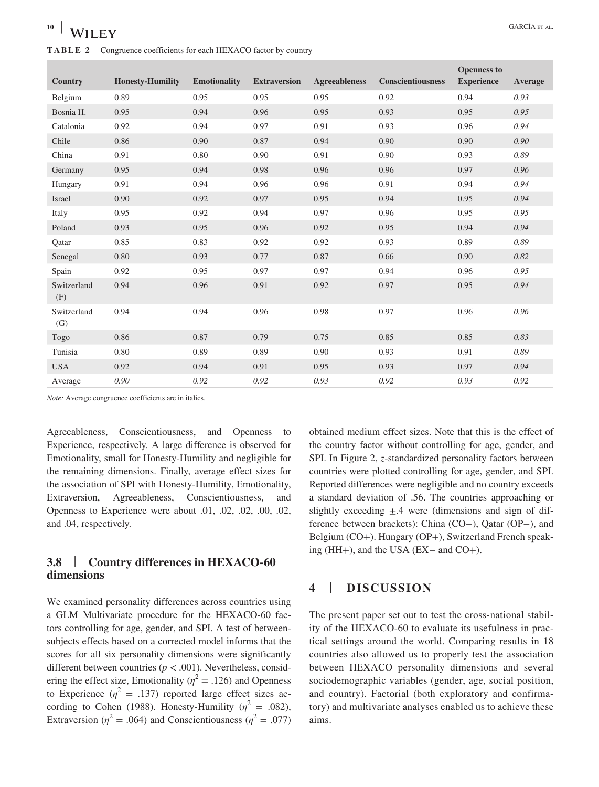| <b>Country</b>     | <b>Honesty-Humility</b> | <b>Emotionality</b> | <b>Extraversion</b> | <b>Agreeableness</b> | <b>Conscientiousness</b> | <b>Openness to</b><br><b>Experience</b> | Average |
|--------------------|-------------------------|---------------------|---------------------|----------------------|--------------------------|-----------------------------------------|---------|
| Belgium            | 0.89                    | 0.95                | 0.95                | 0.95                 | 0.92                     | 0.94                                    | 0.93    |
| Bosnia H.          | 0.95                    | 0.94                | 0.96                | 0.95                 | 0.93                     | 0.95                                    | 0.95    |
| Catalonia          | 0.92                    | 0.94                | 0.97                | 0.91                 | 0.93                     | 0.96                                    | 0.94    |
| Chile              | 0.86                    | 0.90                | 0.87                | 0.94                 | 0.90                     | 0.90                                    | 0.90    |
| China              | 0.91                    | 0.80                | 0.90                | 0.91                 | 0.90                     | 0.93                                    | 0.89    |
| Germany            | 0.95                    | 0.94                | 0.98                | 0.96                 | 0.96                     | 0.97                                    | 0.96    |
| Hungary            | 0.91                    | 0.94                | 0.96                | 0.96                 | 0.91                     | 0.94                                    | 0.94    |
| Israel             | 0.90                    | 0.92                | 0.97                | 0.95                 | 0.94                     | 0.95                                    | 0.94    |
| Italy              | 0.95                    | 0.92                | 0.94                | 0.97                 | 0.96                     | 0.95                                    | 0.95    |
| Poland             | 0.93                    | 0.95                | 0.96                | 0.92                 | 0.95                     | 0.94                                    | 0.94    |
| Qatar              | 0.85                    | 0.83                | 0.92                | 0.92                 | 0.93                     | 0.89                                    | 0.89    |
| Senegal            | 0.80                    | 0.93                | 0.77                | 0.87                 | 0.66                     | 0.90                                    | 0.82    |
| Spain              | 0.92                    | 0.95                | 0.97                | 0.97                 | 0.94                     | 0.96                                    | 0.95    |
| Switzerland<br>(F) | 0.94                    | 0.96                | 0.91                | 0.92                 | 0.97                     | 0.95                                    | 0.94    |
| Switzerland<br>(G) | 0.94                    | 0.94                | 0.96                | 0.98                 | 0.97                     | 0.96                                    | 0.96    |
| Togo               | 0.86                    | 0.87                | 0.79                | 0.75                 | 0.85                     | 0.85                                    | 0.83    |
| Tunisia            | 0.80                    | 0.89                | 0.89                | 0.90                 | 0.93                     | 0.91                                    | 0.89    |
| <b>USA</b>         | 0.92                    | 0.94                | 0.91                | 0.95                 | 0.93                     | 0.97                                    | 0.94    |
| Average            | 0.90                    | 0.92                | 0.92                | 0.93                 | 0.92                     | 0.93                                    | 0.92    |

*Note:* Average congruence coefficients are in italics.

Agreeableness, Conscientiousness, and Openness to Experience, respectively. A large difference is observed for Emotionality, small for Honesty-Humility and negligible for the remaining dimensions. Finally, average effect sizes for the association of SPI with Honesty-Humility, Emotionality, Extraversion, Agreeableness, Conscientiousness, and Openness to Experience were about .01, .02, .02, .00, .02, and .04, respectively.

## **3.8** | **Country differences in HEXACO-60 dimensions**

We examined personality differences across countries using a GLM Multivariate procedure for the HEXACO-60 factors controlling for age, gender, and SPI. A test of betweensubjects effects based on a corrected model informs that the scores for all six personality dimensions were significantly different between countries (*p* < .001). Nevertheless, considering the effect size, Emotionality ( $\eta^2$  = .126) and Openness to Experience  $(\eta^2 = .137)$  reported large effect sizes according to Cohen (1988). Honesty-Humility ( $\eta^2 = .082$ ), Extraversion ( $\eta^2 = .064$ ) and Conscientiousness ( $\eta^2 = .077$ ) obtained medium effect sizes. Note that this is the effect of the country factor without controlling for age, gender, and SPI. In Figure 2, *z*-standardized personality factors between countries were plotted controlling for age, gender, and SPI. Reported differences were negligible and no country exceeds a standard deviation of .56. The countries approaching or slightly exceeding  $\pm$ .4 were (dimensions and sign of difference between brackets): China (CO−), Qatar (OP−), and Belgium (CO+). Hungary (OP+), Switzerland French speaking (HH+), and the USA (EX− and CO+).

#### **4** | **DISCUSSION**

The present paper set out to test the cross-national stability of the HEXACO-60 to evaluate its usefulness in practical settings around the world. Comparing results in 18 countries also allowed us to properly test the association between HEXACO personality dimensions and several sociodemographic variables (gender, age, social position, and country). Factorial (both exploratory and confirmatory) and multivariate analyses enabled us to achieve these aims.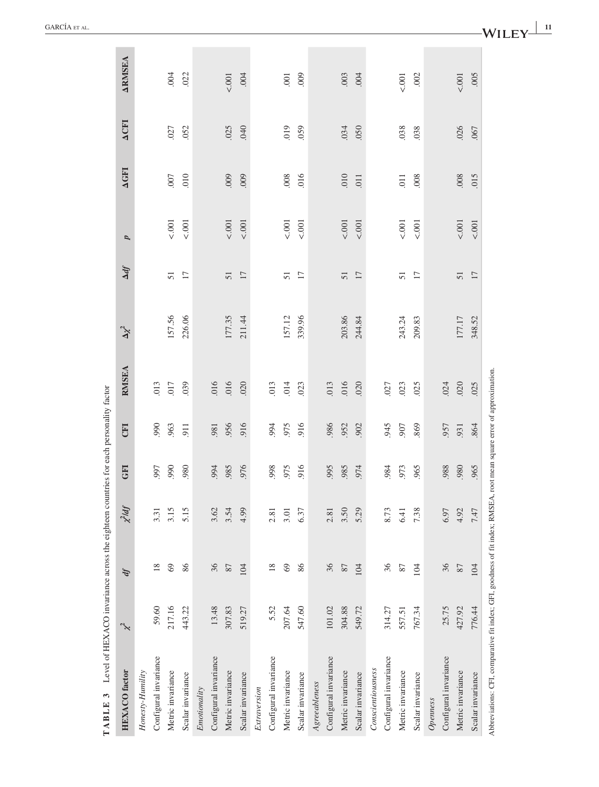| <b>TABLE 3</b> Level of HEXACO invariance across the eighteen countries for each personality factor                    |        |     |           |            |            |              |            |                 |       |                |             |                |
|------------------------------------------------------------------------------------------------------------------------|--------|-----|-----------|------------|------------|--------------|------------|-----------------|-------|----------------|-------------|----------------|
| <b>HEXACO</b> factor                                                                                                   | $\chi$ | ď   | $x^2$ ldf | <b>GFI</b> | <b>CEI</b> | <b>RMSEA</b> | $\Delta t$ | $\Delta df$     | p     | <b>AGFI</b>    | <b>ACFI</b> | <b>ARMISEA</b> |
| Honesty-Humility                                                                                                       |        |     |           |            |            |              |            |                 |       |                |             |                |
| Configural invariance                                                                                                  | 59.60  | 18  | 3.31      | 997        | 990        | .013         |            |                 |       |                |             |                |
| Metric invariance                                                                                                      | 217.16 | 69  | 3.15      | 990        | 963        | .017         | 157.56     | $\overline{51}$ | 5001  | $007$          | .027        | 004            |
| Scalar invariance                                                                                                      | 443.22 | 86  | 5.15      | 980        | 911        | .039         | 226.06     | $\overline{17}$ | 5001  | 010            | .052        | .022           |
| Emotionality                                                                                                           |        |     |           |            |            |              |            |                 |       |                |             |                |
| Configural invariance                                                                                                  | 13.48  | 36  | 3.62      | 994        | 981        | .016         |            |                 |       |                |             |                |
| Metric invariance                                                                                                      | 307.83 | 87  | 3.54      | .985       | .956       | .016         | 177.35     | 51              | 1001  | 000            | .025        | 5.001          |
| Scalar invariance                                                                                                      | 519.27 | 104 | 4.99      | 976        | 916        | .020         | 211.44     | $17\,$          | 5.001 | .009           | .040        | .004           |
| Extraversion                                                                                                           |        |     |           |            |            |              |            |                 |       |                |             |                |
| Configural invariance                                                                                                  | 5.52   | 18  | 2.81      | 998        | 994        | .013         |            |                 |       |                |             |                |
| Metric invariance                                                                                                      | 207.64 | 69  | 3.01      | 975        | 975        | 014          | 157.12     | 51              | 5.001 | .008           | 019         | .001           |
| Scalar invariance                                                                                                      | 547.60 | 86  | 6.37      | 916        | 916        | .023         | 339.96     | $\overline{17}$ | 5.001 | 016            | .059        | 000            |
| Agreeableness                                                                                                          |        |     |           |            |            |              |            |                 |       |                |             |                |
| Configural invariance                                                                                                  | 101.02 | 36  | 2.81      | .995       | 986        | .013         |            |                 |       |                |             |                |
| Metric invariance                                                                                                      | 304.88 | 87  | 3.50      | .985       | .952       | .016         | 203.86     | 51              | 5.001 | $010$ .        | .034        | .003           |
| Scalar invariance                                                                                                      | 549.72 | 104 | 5.29      | 974        | .902       | .020         | 244.84     | 17              | 5.001 | 011            | .050        | 004            |
| Conscientiousness                                                                                                      |        |     |           |            |            |              |            |                 |       |                |             |                |
| Configural invariance                                                                                                  | 314.27 | 36  | 8.73      | .984       | 945        | .027         |            |                 |       |                |             |                |
| Metric invariance                                                                                                      | 557.51 | 87  | 6.41      | 973        | 907        | .023         | 243.24     | 51              | 5.001 | $\overline{0}$ | .038        | 5001           |
| Scalar invariance                                                                                                      | 767.34 | 104 | 7.38      | 965        | 869        | .025         | 209.83     | $\overline{17}$ | 5001  | .008           | .038        | .002           |
| Openness                                                                                                               |        |     |           |            |            |              |            |                 |       |                |             |                |
| Configural invariance                                                                                                  | 25.75  | 36  | 6.97      | 988        | .957       | .024         |            |                 |       |                |             |                |
| Metric invariance                                                                                                      | 427.92 | 87  | 4.92      | .980       | .931       | .020         | 177.17     | 51              | 5.001 | .008           | .026        | 5.001          |
| Scalar invariance                                                                                                      | 776.44 | 104 | 7.47      | .965       | 864        | .025         | 348.52     | 17              | 5.001 | 015            | .067        | .005           |
| Abbreviations: CFI, comparative fit index; GFI, goodness of fit index; RMSEA, root mean square error of approximation. |        |     |           |            |            |              |            |                 |       |                |             |                |

 $\sim$ 

**WILEY <sup>|</sup>** GARCÍA et al. **<sup>11</sup>**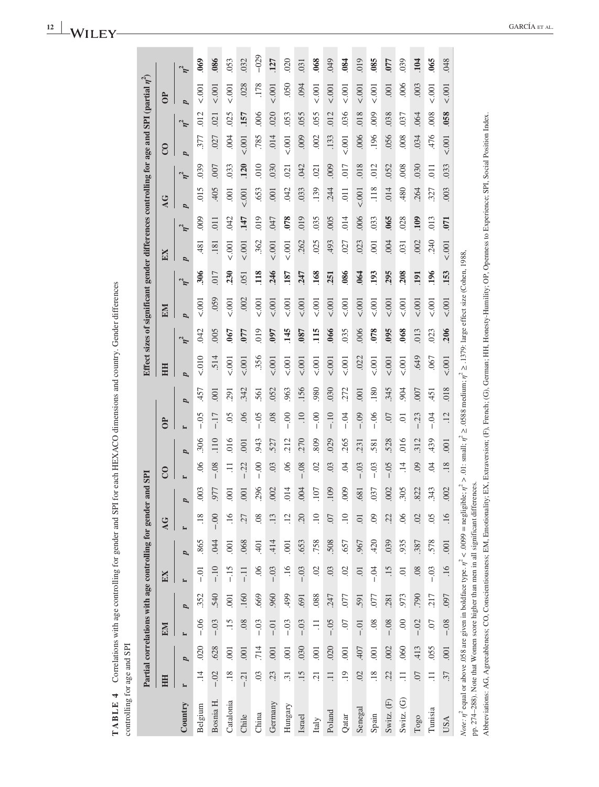| i<br>F<br>I<br>l<br>.<br>E<br>j                 | ⅎ | ì<br>;<br>;<br>ì<br>$\frac{1}{2}$<br>ļ<br>$5 - 2 - 2 = 14$ |
|-------------------------------------------------|---|------------------------------------------------------------|
| ֚֚֚֬<br>$\overline{\phantom{a}}$<br>)<br>i<br>; | j | į                                                          |

|                                                                                                                                                                                                      |                  |                |                |                | Partial correlations with age controlling for gender |                |                 | and SPI        |                |      |                 |                  |                                                                                                              |            | Effect sizes of significant gender differences controlling for age and SPI (partial $\eta^2)$ |          |                |                |                  |                  |                |          |                |            |
|------------------------------------------------------------------------------------------------------------------------------------------------------------------------------------------------------|------------------|----------------|----------------|----------------|------------------------------------------------------|----------------|-----------------|----------------|----------------|------|-----------------|------------------|--------------------------------------------------------------------------------------------------------------|------------|-----------------------------------------------------------------------------------------------|----------|----------------|----------------|------------------|------------------|----------------|----------|----------------|------------|
|                                                                                                                                                                                                      | HH               |                | EM             |                | EX                                                   |                | AG              |                | $\overline{c}$ |      | $\Theta$        |                  | HH                                                                                                           |            | EM                                                                                            |          | EX             |                | $\overline{A}$   |                  | $\overline{c}$ |          | $\overline{c}$ |            |
| Country                                                                                                                                                                                              |                  | p              |                | p              | $\blacktriangleright$                                | p              |                 | E<br>Ø         | p              | E    |                 | p                | Ø                                                                                                            | $\eta^2$   | p                                                                                             | $\eta^2$ | p              | $\eta^2$       | $\overline{p}$   | $\eta^2$         | p              | $\eta^2$ | $\overline{a}$ | $\eta^2$   |
| Belgium                                                                                                                                                                                              | $\overline{14}$  | 020            | $-0.06$        | .352           | $-0.01$                                              | 865            | .18             | 003            | $\overline{6}$ | .306 | $-0.5$          | 457              | $010 - 20$                                                                                                   | <b>CRO</b> | < .001                                                                                        | .306     | 481            | 000            | 015              | 039              | 377            | 012      | 5.001          | $_{069}$   |
| Bosnia H.                                                                                                                                                                                            | $-.02$           | 628            | $-0.03$        | 540            | $-10$                                                | .044           | $-0.00$         | 977            | $-0.08$        | 110  | $-17$           | $\overline{0}$   | .514                                                                                                         | 005        | 059                                                                                           | 017      | .181           | $\overline{0}$ | 405              | .007             | .027           | 021      | 5.001          | .086       |
| Catalonia                                                                                                                                                                                            | .18              | .001           | $\ddot{15}$    | $\overline{0}$ | $-15$                                                | $\overline{0}$ | .16             | $\overline{0}$ | $\Xi$          | 016  | 05              | 291              | 5.001                                                                                                        | 067        | 5001                                                                                          | 230      | 5001           | .042           | 001              | 033              | 004            | 025      | 5.001          | .053       |
| Chile                                                                                                                                                                                                | $-21$            | 001            | 08             | .160           | $-11$                                                | .068           | .27             | 001            | $-.22$         | 001  | 06              | 342              | 5001                                                                                                         | 077        | .002                                                                                          | 051      | 5.001          | 147            | 5001             | .120             | 5.001          | 157      | .028           | 032        |
| China                                                                                                                                                                                                | 0 <sup>3</sup>   | 714            | $-0.3$         | .669           | 06                                                   | $-401$         | .08             | .296           | $-0.00$        | 943  | $-0.5$          | 561              | .356                                                                                                         | 019        | 5.001                                                                                         | 118      | .362           | 019            | 653              | 010              | .785           | .006     | .178           | $-029$     |
| Germany                                                                                                                                                                                              | 23               | 001            | $-0.01$        | 960            | $-.03$                                               | 414            | .13             | 002            | 03             | 527  | 08              | 052              | 5.001                                                                                                        | <b>U60</b> | 5001                                                                                          | 246      | 5.001          | 047            | .001             | .030             | 014            | 020      | 5.001          | 127        |
| Hungary                                                                                                                                                                                              | $\overline{31}$  | .001           | $-0.03$        | 499            | $\overline{.16}$                                     | $\overline{0}$ | .12             | 014            | $\overline{0}$ | 212  | $-0.00$         | 963              | 5001                                                                                                         | 145        | 5001                                                                                          | 187      | 5001           | .078           | 042              | 021              | 5001           | 053      | .050           | 020        |
| Israel                                                                                                                                                                                               | 15               | 030            | $-0.03$        | .691           | $-.03$                                               | 653            | 20              | 004            | $-0.08$        | 270  | $\overline{10}$ | 156              | < .001                                                                                                       | <b>087</b> | 5.001                                                                                         | 247      | 262            | 019            | .033             | <b>CHO</b>       | 000            | 055      | 094            | .031       |
| Italy                                                                                                                                                                                                | $\overline{c}$   | .001           | $\Xi$          | .088           | $\odot$                                              | .758           | 10              | 107            | S              | 809  | $-0.00$         | 980              | 5001                                                                                                         | 115        | 5.001                                                                                         | .168     | 025            | 035            | 139              | 021              | .002           | 055      | 5.001          | .068       |
| Poland                                                                                                                                                                                               | $\exists$        | .020           | $-0.05$        | 247            | $\overline{0}$                                       | 508            | 07              | .109           | $\overline{0}$ | 029  | $-10$           | 030              | 5.001                                                                                                        | .066       | 5.001                                                                                         | 251      | 493            | .005           | 244              | 009              | .133           | .012     | 5.001          | 049        |
| Qatar                                                                                                                                                                                                | $\overline{0}$   | .001           | <b>CO</b> .    | .077           | $\overline{0}$                                       | .657           | $\overline{10}$ | 000            | Ŕ.             | 265  | $-0.4$          | 272              | 5001                                                                                                         | .035       | 1001                                                                                          | .086     | 027            | 014            | $\overline{0}11$ | 017              | < .001         | 036      | 5.001          | .84        |
| Senegal                                                                                                                                                                                              | $\overline{0}$   | 407            | $-0.01$        | 591            | $\overline{0}$                                       | .967           | $\overline{0}$  | .681           | $-.03$         | 231  | $-0.09$         | $\overline{001}$ | .022                                                                                                         | ,006       | 001                                                                                           | 064      | 023            | .006           | < .001           | 018              | .006           | 018      | 001            | 019        |
| Spain                                                                                                                                                                                                | $\overline{.}18$ | $\overline{0}$ | $\overline{0}$ | 077            | $-0.4$                                               | 420            | 09              | 037            | $-0.03$        | 581  | $-06$           | .180             | 5.001                                                                                                        | 078        | 5.001                                                                                         | 193      | $\overline{0}$ | 033            | .118             | 012              | 196            | 000      | 5.001          | 085        |
| Switz. (F)                                                                                                                                                                                           | 22.              | .002           | $-0.08$        | .281           | .15                                                  | 039            | 22              | .002           | $-0.5$         | 528  | .07             | 345              | < .001                                                                                                       | 095        | 5001                                                                                          | 295      | 004            | 065            | 014              | .052             | .056           | 038      | $\overline{0}$ | <b>CLO</b> |
| Switz. (G)                                                                                                                                                                                           | $\Xi$            | .060           | $\odot$        | 973            | $\overline{0}$                                       | 935            | $\infty$        | 305            | $\vec{=}$      | 016  | Ξ.              | 904              | 5001                                                                                                         | .068       | 001                                                                                           | 208      | 031            | .028           | .480             | .008             | .008           | 037      | .006           | 039        |
| $_{\rm Togo}$                                                                                                                                                                                        | 07               | 413            | $-.02$         | 790            | 08                                                   | .387           | $\mathcal{O}$   | 822            | $\overline{6}$ | 312  | 23              | 007              | .649                                                                                                         | .013       | 5001                                                                                          | 191      | .002           | 109            | 264              | .030             | 034            | .064     | 003            | 104        |
| Tunisia                                                                                                                                                                                              | $\Xi$            | .055           | <b>CO</b> .    | 217            | $-0.3$                                               | 578            | $\overline{0}$  | 343            | Ŕ.             | 439  | $-0.4$          | 451              | .067                                                                                                         | .023       | 1001                                                                                          | 196      | <b>240</b>     | 013            | 327              | $\overline{0}11$ | 476            | .008     | 5.001          | .065       |
| <b>USA</b>                                                                                                                                                                                           | 37               | 001            | $-0.08$        | 097            | .16                                                  | .001           | .16             | .002           | .18            | 001  | $\ddot{12}$     | .018             | 5001                                                                                                         | .206       | < .001                                                                                        | .153     | 5.001          | 071            | .003             | .033             | < .001         | 058      | < .001         | .048       |
| pp. 274-288). Note that Women score higher than men in all significant differences.<br><i>Note:</i> $\eta^2$ equal or above .058 are given in boldface type. $\eta^2 < .0099$ = negligil             |                  |                |                |                |                                                      |                |                 |                |                |      |                 |                  | ble; $\eta^2 > .01$ : small; $\eta^2 \ge .0588$ medium; $\eta^2 \ge .1379$ : large effect size (Cohen, 1988, |            |                                                                                               |          |                |                |                  |                  |                |          |                |            |
| Abbreviations: AG, Agreeableness, CO, Conscientiousness; EM, Emotionality; EX, Extraversion; (F), French; (G), German; HH, Honesty-Humility; OP, Openness to Experience; SPI, Social Position Index. |                  |                |                |                |                                                      |                |                 |                |                |      |                 |                  |                                                                                                              |            |                                                                                               |          |                |                |                  |                  |                |          |                |            |

**College** 

a l .

\_\_\_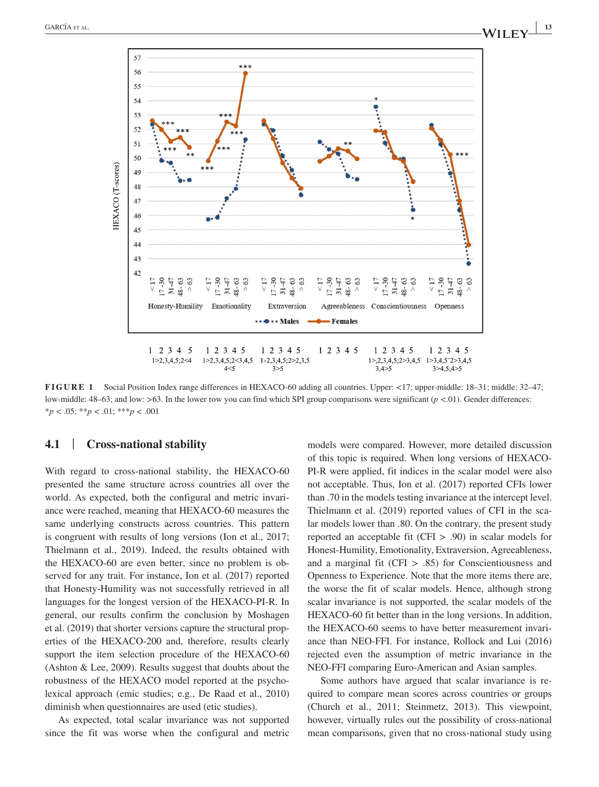

**FIGURE 1** Social Position Index range differences in HEXACO-60 adding all countries. Upper: <17; upper-middle: 18–31; middle: 32–47; low-middle: 48–63; and low: >63. In the lower row you can find which SPI group comparisons were significant ( $p$  <.01). Gender differences: \**p* < .05; \*\**p* < .01; \*\*\**p* < .001

#### **4.1** | **Cross-national stability**

With regard to cross-national stability, the HEXACO-60 presented the same structure across countries all over the world. As expected, both the configural and metric invariance were reached, meaning that HEXACO-60 measures the same underlying constructs across countries. This pattern is congruent with results of long versions (Ion et al., 2017; Thielmann et al., 2019). Indeed, the results obtained with the HEXACO-60 are even better, since no problem is observed for any trait. For instance, Ion et al. (2017) reported that Honesty-Humility was not successfully retrieved in all languages for the longest version of the HEXACO-PI-R. In general, our results confirm the conclusion by Moshagen et al. (2019) that shorter versions capture the structural properties of the HEXACO-200 and, therefore, results clearly support the item selection procedure of the HEXACO-60 (Ashton & Lee, 2009). Results suggest that doubts about the robustness of the HEXACO model reported at the psycholexical approach (emic studies; e.g., De Raad et al., 2010) diminish when questionnaires are used (etic studies).

As expected, total scalar invariance was not supported since the fit was worse when the configural and metric models were compared. However, more detailed discussion of this topic is required. When long versions of HEXACO-PI-R were applied, fit indices in the scalar model were also not acceptable. Thus, Ion et al. (2017) reported CFIs lower than .70 in the models testing invariance at the intercept level. Thielmann et al. (2019) reported values of CFI in the scalar models lower than .80. On the contrary, the present study reported an acceptable fit (CFI > .90) in scalar models for Honest-Humility, Emotionality, Extraversion, Agreeableness, and a marginal fit (CFI  $> .85$ ) for Conscientiousness and Openness to Experience. Note that the more items there are, the worse the fit of scalar models. Hence, although strong scalar invariance is not supported, the scalar models of the HEXACO-60 fit better than in the long versions. In addition, the HEXACO-60 seems to have better measurement invariance than NEO-FFI. For instance, Rollock and Lui (2016) rejected even the assumption of metric invariance in the NEO-FFI comparing Euro-American and Asian samples.

Some authors have argued that scalar invariance is required to compare mean scores across countries or groups (Church et al., 2011; Steinmetz, 2013). This viewpoint, however, virtually rules out the possibility of cross-national mean comparisons, given that no cross-national study using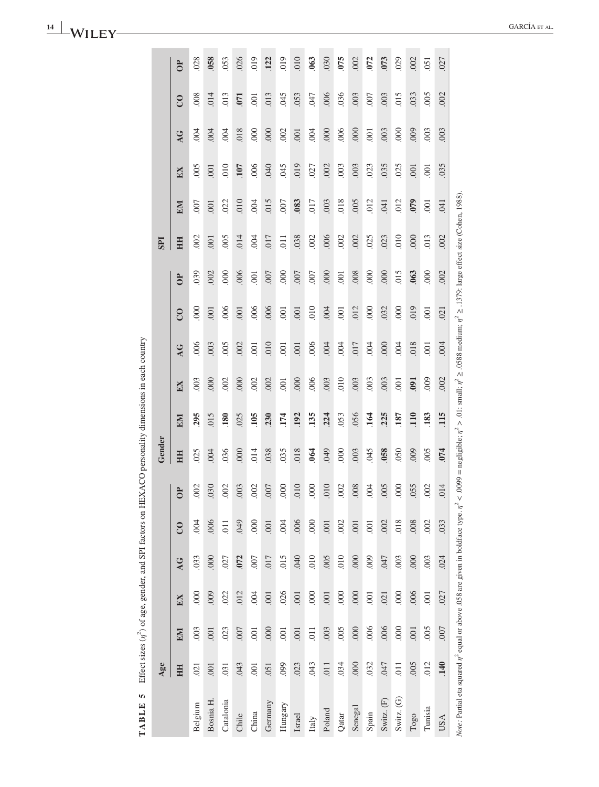|            | $\Theta$                | 028     | 058      | .053            | .026           | 019            | .122    | 019            | 010    | .063   | .030   | 075            | .002    | 072            | .073       | .029       | .002 | .051           | .027             |                                                                                                                                   |
|------------|-------------------------|---------|----------|-----------------|----------------|----------------|---------|----------------|--------|--------|--------|----------------|---------|----------------|------------|------------|------|----------------|------------------|-----------------------------------------------------------------------------------------------------------------------------------|
|            | $\overline{c}$          | .008    | .014     | 013             | $\overline{5}$ | $-001$         | .013    | 045            | .053   | 047    | .006   | .036           | .003    | .007           | .003       | 015        | .033 | .005           | .002             |                                                                                                                                   |
|            | AG                      | 004     | 004      | 004             | .018           | 000            | .000    | 002            | .001   | $-004$ | 000    | .006           | 000     | $\overline{0}$ | .003       | 000        | 009  | .003           | 003              |                                                                                                                                   |
|            | EX                      | 005     | .001     | 010             | <b>107</b>     | .006           | 040     | .045           | 019    | .027   | .002   | .003           | .003    | .023           | 035        | .025       | .001 | $\overline{0}$ | 035              |                                                                                                                                   |
|            | EM                      | 007     | .001     | 022             | 010            | .004           | 015     | .007           | .083   | .017   | .003   | 018            | .005    | 012            | .041       | .012       | 079  | $\overline{0}$ | .041             |                                                                                                                                   |
| <b>IdS</b> | HH                      | .002    | .001     | 005             | .014           | 004            | .017    | 011            | .038   | .002   | .006   | .002           | .002    | .025           | .023       | 010        | 000  | 013            | .002             |                                                                                                                                   |
|            | $\Theta$                | 039     | .002     | $\frac{000}{1}$ | 006            | .001           | .007    | 000            | .007   | .007   | 000    | $-001$         | .008    | 000            | 000        | 015        | 063  | 000            | .002             |                                                                                                                                   |
|            | $\overline{C}$          | 000     | .001     | .006            | .001           | .006           | .006    | 001            | .001   | 010    | 004    | $\overline{0}$ | .012    | 000            | .032       | 000        | 019  | .001           | .021             |                                                                                                                                   |
|            | AG                      | 006     | .003     | 005             | 002            | $\overline{0}$ | 010     | $\overline{0}$ | .001   | .006   | 004    | .004           | 017     | 004            | 000        | 004        | 018  | .001           | .004             | < .0099 = negligible; $\eta^2 > 0.01$ : small; $\eta^2 \ge 0.0588$ medium; $\eta^2 \ge 0.1379$ : large effect size (Cohen, 1988). |
|            | EX                      | .003    | 000      | .002            | 000            | .002           | .002    | $\overline{0}$ | .000   | .006   | .003   | 010            | .003    | .003           | .003       | .001       | 091  | 000            | .002             |                                                                                                                                   |
|            | EM                      | 295     | 015      | 180             | .025           | 105            | .230    | 174            | 192    | 135    | 224    | .053           | .056    | 164            | 225        | 187        | 110  | 183            | 115              |                                                                                                                                   |
| Gender     | HH                      | .025    | 004      | 036             | 000            | .014           | .038    | 035            | .018   | 064    | 640    | 000            | .003    | 045            | 058        | 050        | 000  | 005            | 074              |                                                                                                                                   |
|            | $\Theta$                | .002    | .030     | .002            | .003           | .002           | .007    | 000            | 010    | 000    | 010    | .002           | .008    | .004           | .005       | 000        | .055 | .002           | .014             |                                                                                                                                   |
|            | $\overline{\mathrm{c}}$ | $-004$  | .006     | .011            | <b>QA9</b>     | 000            | .001    | .004           | .006   | 000    | .001   | .002           | .001    | .001           | .002       | 018        | .008 | .002           | 033              |                                                                                                                                   |
|            | AG                      | .033    | 000      | .027            | .072           | 007            | 017     | 015            | 040    | 010    | 005    | 010            | 000     | .009           | <b>CFO</b> | .003       | 000  | .003           | .024             |                                                                                                                                   |
|            | EX                      | 000     | 000      | .022            | .012           | .004           | .001    | .026           | .001   | 000    | .001   | 000            | 000     | .001           | .021       | 000        | .006 | .001           | .027             |                                                                                                                                   |
|            | EM                      | .003    | .001     | .023            | .007           | .001           | 000     | .001           | .001   | .011   | .003   | .005           | $000$ . | .006           | .006       | 000        | .001 | .005           | 007              |                                                                                                                                   |
| Age        | HH                      | .021    | .001     | .031            | .043           | .001           | .051    | 099            | .023   | 043    | 011    | 034            | 000     | .032           | <b>CFO</b> | .011       | .005 | .012           | $\overline{140}$ |                                                                                                                                   |
|            |                         | Belgium | Bosnia H | Catalonia       | Chile          | China          | Germany | Hungary        | Israel | Italy  | Poland | Qatar          | Senegal | Spain          | Switz. (F) | Switz. (G) | Togo | Tunisia        | <b>USA</b>       | Note: Partial eta squared $\eta^2$ equal or above .058 are given in boldface type. $\eta^2$                                       |

**TABLE 5** Effect sizes  $(r_1^2)$  of age, gender, and SPI factors on HEXACO personality dimensions in each country **TABLE 5** Effect sizes (*η*<sup>2</sup>) of age, gender, and SPI factors on HEXACO personality dimensions in each country

**14 <sup>|</sup>** GARCÍA et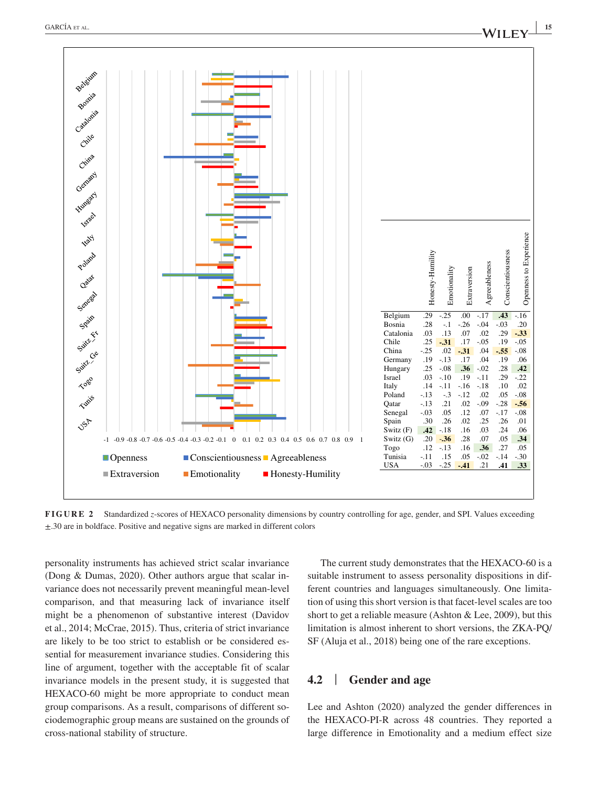

**FIGURE 2** Standardized *z*-scores of HEXACO personality dimensions by country controlling for age, gender, and SPI. Values exceeding ±.30 are in boldface. Positive and negative signs are marked in different colors

personality instruments has achieved strict scalar invariance (Dong & Dumas, 2020). Other authors argue that scalar invariance does not necessarily prevent meaningful mean-level comparison, and that measuring lack of invariance itself might be a phenomenon of substantive interest (Davidov et al., 2014; McCrae, 2015). Thus, criteria of strict invariance are likely to be too strict to establish or be considered essential for measurement invariance studies. Considering this line of argument, together with the acceptable fit of scalar invariance models in the present study, it is suggested that HEXACO-60 might be more appropriate to conduct mean group comparisons. As a result, comparisons of different sociodemographic group means are sustained on the grounds of cross-national stability of structure.

The current study demonstrates that the HEXACO-60 is a suitable instrument to assess personality dispositions in different countries and languages simultaneously. One limitation of using this short version is that facet-level scales are too short to get a reliable measure (Ashton & Lee, 2009), but this limitation is almost inherent to short versions, the ZKA-PQ/ SF (Aluja et al., 2018) being one of the rare exceptions.

#### **4.2** | **Gender and age**

Lee and Ashton (2020) analyzed the gender differences in the HEXACO-PI-R across 48 countries. They reported a large difference in Emotionality and a medium effect size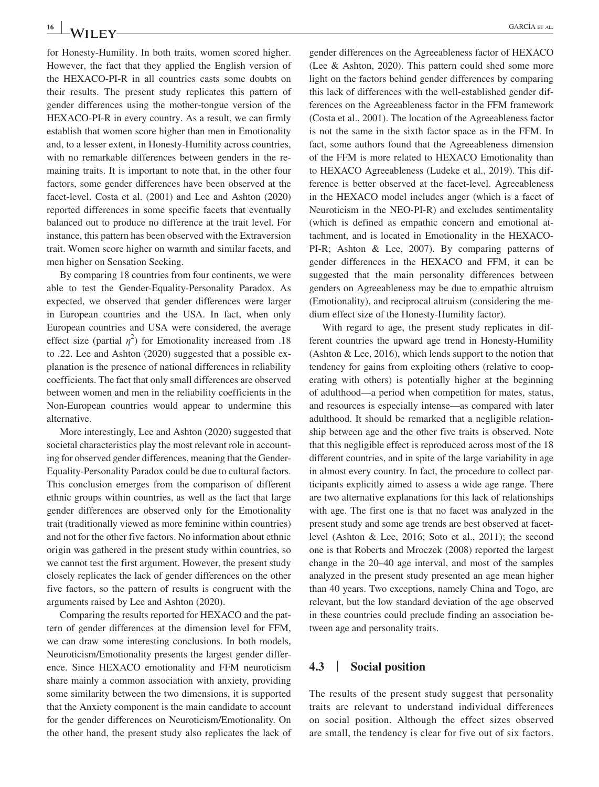for Honesty-Humility. In both traits, women scored higher. However, the fact that they applied the English version of the HEXACO-PI-R in all countries casts some doubts on their results. The present study replicates this pattern of gender differences using the mother-tongue version of the HEXACO-PI-R in every country. As a result, we can firmly establish that women score higher than men in Emotionality and, to a lesser extent, in Honesty-Humility across countries, with no remarkable differences between genders in the remaining traits. It is important to note that, in the other four factors, some gender differences have been observed at the facet-level. Costa et al. (2001) and Lee and Ashton (2020) reported differences in some specific facets that eventually balanced out to produce no difference at the trait level. For instance, this pattern has been observed with the Extraversion trait. Women score higher on warmth and similar facets, and men higher on Sensation Seeking.

By comparing 18 countries from four continents, we were able to test the Gender-Equality-Personality Paradox. As expected, we observed that gender differences were larger in European countries and the USA. In fact, when only European countries and USA were considered, the average effect size (partial  $\eta^2$ ) for Emotionality increased from .18 to .22. Lee and Ashton (2020) suggested that a possible explanation is the presence of national differences in reliability coefficients. The fact that only small differences are observed between women and men in the reliability coefficients in the Non-European countries would appear to undermine this alternative.

More interestingly, Lee and Ashton (2020) suggested that societal characteristics play the most relevant role in accounting for observed gender differences, meaning that the Gender-Equality-Personality Paradox could be due to cultural factors. This conclusion emerges from the comparison of different ethnic groups within countries, as well as the fact that large gender differences are observed only for the Emotionality trait (traditionally viewed as more feminine within countries) and not for the other five factors. No information about ethnic origin was gathered in the present study within countries, so we cannot test the first argument. However, the present study closely replicates the lack of gender differences on the other five factors, so the pattern of results is congruent with the arguments raised by Lee and Ashton (2020).

Comparing the results reported for HEXACO and the pattern of gender differences at the dimension level for FFM, we can draw some interesting conclusions. In both models, Neuroticism/Emotionality presents the largest gender difference. Since HEXACO emotionality and FFM neuroticism share mainly a common association with anxiety, providing some similarity between the two dimensions, it is supported that the Anxiety component is the main candidate to account for the gender differences on Neuroticism/Emotionality. On the other hand, the present study also replicates the lack of

gender differences on the Agreeableness factor of HEXACO (Lee & Ashton, 2020). This pattern could shed some more light on the factors behind gender differences by comparing this lack of differences with the well-established gender differences on the Agreeableness factor in the FFM framework (Costa et al., 2001). The location of the Agreeableness factor is not the same in the sixth factor space as in the FFM. In fact, some authors found that the Agreeableness dimension of the FFM is more related to HEXACO Emotionality than to HEXACO Agreeableness (Ludeke et al., 2019). This difference is better observed at the facet-level. Agreeableness in the HEXACO model includes anger (which is a facet of Neuroticism in the NEO-PI-R) and excludes sentimentality (which is defined as empathic concern and emotional attachment, and is located in Emotionality in the HEXACO-PI-R; Ashton & Lee, 2007). By comparing patterns of gender differences in the HEXACO and FFM, it can be suggested that the main personality differences between genders on Agreeableness may be due to empathic altruism (Emotionality), and reciprocal altruism (considering the medium effect size of the Honesty-Humility factor).

With regard to age, the present study replicates in different countries the upward age trend in Honesty-Humility (Ashton & Lee, 2016), which lends support to the notion that tendency for gains from exploiting others (relative to cooperating with others) is potentially higher at the beginning of adulthood—a period when competition for mates, status, and resources is especially intense—as compared with later adulthood. It should be remarked that a negligible relationship between age and the other five traits is observed. Note that this negligible effect is reproduced across most of the 18 different countries, and in spite of the large variability in age in almost every country. In fact, the procedure to collect participants explicitly aimed to assess a wide age range. There are two alternative explanations for this lack of relationships with age. The first one is that no facet was analyzed in the present study and some age trends are best observed at facetlevel (Ashton & Lee, 2016; Soto et al., 2011); the second one is that Roberts and Mroczek (2008) reported the largest change in the 20–40 age interval, and most of the samples analyzed in the present study presented an age mean higher than 40 years. Two exceptions, namely China and Togo, are relevant, but the low standard deviation of the age observed in these countries could preclude finding an association between age and personality traits.

#### **4.3** | **Social position**

The results of the present study suggest that personality traits are relevant to understand individual differences on social position. Although the effect sizes observed are small, the tendency is clear for five out of six factors.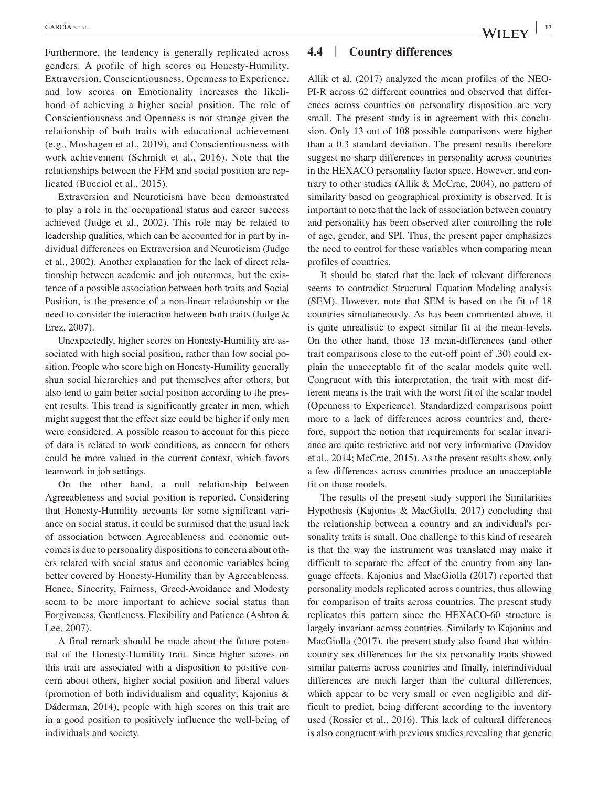Furthermore, the tendency is generally replicated across genders. A profile of high scores on Honesty-Humility, Extraversion, Conscientiousness, Openness to Experience, and low scores on Emotionality increases the likelihood of achieving a higher social position. The role of Conscientiousness and Openness is not strange given the relationship of both traits with educational achievement (e.g., Moshagen et al., 2019), and Conscientiousness with work achievement (Schmidt et al., 2016). Note that the relationships between the FFM and social position are replicated (Bucciol et al., 2015).

Extraversion and Neuroticism have been demonstrated to play a role in the occupational status and career success achieved (Judge et al., 2002). This role may be related to leadership qualities, which can be accounted for in part by individual differences on Extraversion and Neuroticism (Judge et al., 2002). Another explanation for the lack of direct relationship between academic and job outcomes, but the existence of a possible association between both traits and Social Position, is the presence of a non-linear relationship or the need to consider the interaction between both traits (Judge & Erez, 2007).

Unexpectedly, higher scores on Honesty-Humility are associated with high social position, rather than low social position. People who score high on Honesty-Humility generally shun social hierarchies and put themselves after others, but also tend to gain better social position according to the present results. This trend is significantly greater in men, which might suggest that the effect size could be higher if only men were considered. A possible reason to account for this piece of data is related to work conditions, as concern for others could be more valued in the current context, which favors teamwork in job settings.

On the other hand, a null relationship between Agreeableness and social position is reported. Considering that Honesty-Humility accounts for some significant variance on social status, it could be surmised that the usual lack of association between Agreeableness and economic outcomes is due to personality dispositions to concern about others related with social status and economic variables being better covered by Honesty-Humility than by Agreeableness. Hence, Sincerity, Fairness, Greed-Avoidance and Modesty seem to be more important to achieve social status than Forgiveness, Gentleness, Flexibility and Patience (Ashton & Lee, 2007).

A final remark should be made about the future potential of the Honesty-Humility trait. Since higher scores on this trait are associated with a disposition to positive concern about others, higher social position and liberal values (promotion of both individualism and equality; Kajonius & Dåderman, 2014), people with high scores on this trait are in a good position to positively influence the well-being of individuals and society.

#### **4.4** | **Country differences**

Allik et al. (2017) analyzed the mean profiles of the NEO-PI-R across 62 different countries and observed that differences across countries on personality disposition are very small. The present study is in agreement with this conclusion. Only 13 out of 108 possible comparisons were higher than a 0.3 standard deviation. The present results therefore suggest no sharp differences in personality across countries in the HEXACO personality factor space. However, and contrary to other studies (Allik & McCrae, 2004), no pattern of similarity based on geographical proximity is observed. It is important to note that the lack of association between country and personality has been observed after controlling the role of age, gender, and SPI. Thus, the present paper emphasizes the need to control for these variables when comparing mean profiles of countries.

It should be stated that the lack of relevant differences seems to contradict Structural Equation Modeling analysis (SEM). However, note that SEM is based on the fit of 18 countries simultaneously. As has been commented above, it is quite unrealistic to expect similar fit at the mean-levels. On the other hand, those 13 mean-differences (and other trait comparisons close to the cut-off point of .30) could explain the unacceptable fit of the scalar models quite well. Congruent with this interpretation, the trait with most different means is the trait with the worst fit of the scalar model (Openness to Experience). Standardized comparisons point more to a lack of differences across countries and, therefore, support the notion that requirements for scalar invariance are quite restrictive and not very informative (Davidov et al., 2014; McCrae, 2015). As the present results show, only a few differences across countries produce an unacceptable fit on those models.

The results of the present study support the Similarities Hypothesis (Kajonius & MacGiolla, 2017) concluding that the relationship between a country and an individual's personality traits is small. One challenge to this kind of research is that the way the instrument was translated may make it difficult to separate the effect of the country from any language effects. Kajonius and MacGiolla (2017) reported that personality models replicated across countries, thus allowing for comparison of traits across countries. The present study replicates this pattern since the HEXACO-60 structure is largely invariant across countries. Similarly to Kajonius and MacGiolla (2017), the present study also found that withincountry sex differences for the six personality traits showed similar patterns across countries and finally, interindividual differences are much larger than the cultural differences, which appear to be very small or even negligible and difficult to predict, being different according to the inventory used (Rossier et al., 2016). This lack of cultural differences is also congruent with previous studies revealing that genetic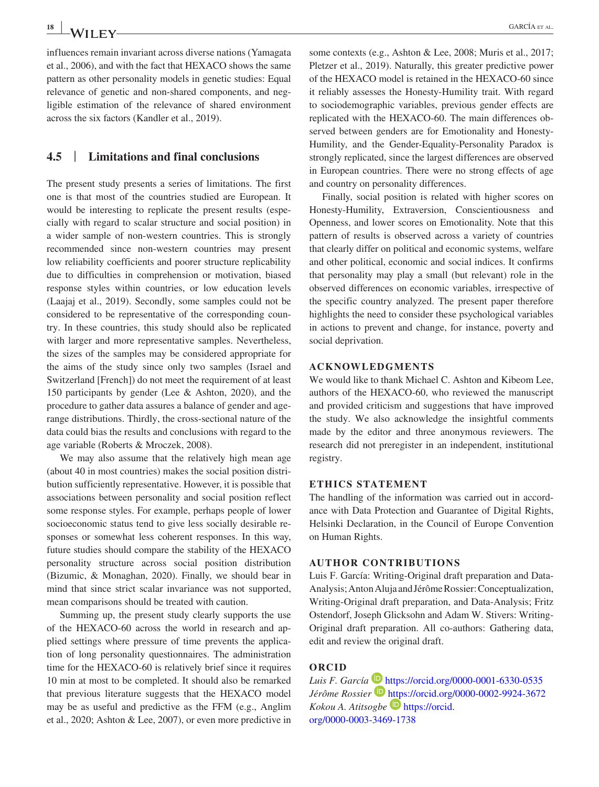influences remain invariant across diverse nations (Yamagata et al., 2006), and with the fact that HEXACO shows the same pattern as other personality models in genetic studies: Equal relevance of genetic and non-shared components, and negligible estimation of the relevance of shared environment across the six factors (Kandler et al., 2019).

## **4.5** | **Limitations and final conclusions**

The present study presents a series of limitations. The first one is that most of the countries studied are European. It would be interesting to replicate the present results (especially with regard to scalar structure and social position) in a wider sample of non-western countries. This is strongly recommended since non-western countries may present low reliability coefficients and poorer structure replicability due to difficulties in comprehension or motivation, biased response styles within countries, or low education levels (Laajaj et al., 2019). Secondly, some samples could not be considered to be representative of the corresponding country. In these countries, this study should also be replicated with larger and more representative samples. Nevertheless, the sizes of the samples may be considered appropriate for the aims of the study since only two samples (Israel and Switzerland [French]) do not meet the requirement of at least 150 participants by gender (Lee & Ashton, 2020), and the procedure to gather data assures a balance of gender and agerange distributions. Thirdly, the cross-sectional nature of the data could bias the results and conclusions with regard to the age variable (Roberts & Mroczek, 2008).

We may also assume that the relatively high mean age (about 40 in most countries) makes the social position distribution sufficiently representative. However, it is possible that associations between personality and social position reflect some response styles. For example, perhaps people of lower socioeconomic status tend to give less socially desirable responses or somewhat less coherent responses. In this way, future studies should compare the stability of the HEXACO personality structure across social position distribution (Bizumic, & Monaghan, 2020). Finally, we should bear in mind that since strict scalar invariance was not supported, mean comparisons should be treated with caution.

Summing up, the present study clearly supports the use of the HEXACO-60 across the world in research and applied settings where pressure of time prevents the application of long personality questionnaires. The administration time for the HEXACO-60 is relatively brief since it requires 10 min at most to be completed. It should also be remarked that previous literature suggests that the HEXACO model may be as useful and predictive as the FFM (e.g., Anglim et al., 2020; Ashton & Lee, 2007), or even more predictive in some contexts (e.g., Ashton & Lee, 2008; Muris et al., 2017; Pletzer et al., 2019). Naturally, this greater predictive power of the HEXACO model is retained in the HEXACO-60 since it reliably assesses the Honesty-Humility trait. With regard to sociodemographic variables, previous gender effects are replicated with the HEXACO-60. The main differences observed between genders are for Emotionality and Honesty-Humility, and the Gender-Equality-Personality Paradox is strongly replicated, since the largest differences are observed in European countries. There were no strong effects of age and country on personality differences.

Finally, social position is related with higher scores on Honesty-Humility, Extraversion, Conscientiousness and Openness, and lower scores on Emotionality. Note that this pattern of results is observed across a variety of countries that clearly differ on political and economic systems, welfare and other political, economic and social indices. It confirms that personality may play a small (but relevant) role in the observed differences on economic variables, irrespective of the specific country analyzed. The present paper therefore highlights the need to consider these psychological variables in actions to prevent and change, for instance, poverty and social deprivation.

#### **ACKNOWLEDGMENTS**

We would like to thank Michael C. Ashton and Kibeom Lee, authors of the HEXACO-60, who reviewed the manuscript and provided criticism and suggestions that have improved the study. We also acknowledge the insightful comments made by the editor and three anonymous reviewers. The research did not preregister in an independent, institutional registry.

#### **ETHICS STATEMENT**

The handling of the information was carried out in accordance with Data Protection and Guarantee of Digital Rights, Helsinki Declaration, in the Council of Europe Convention on Human Rights.

#### **AUTHOR CONTRIBUTIONS**

Luis F. García: Writing-Original draft preparation and Data-Analysis; Anton Aluja and Jérôme Rossier: Conceptualization, Writing-Original draft preparation, and Data-Analysis; Fritz Ostendorf, Joseph Glicksohn and Adam W. Stivers: Writing-Original draft preparation. All co-authors: Gathering data, edit and review the original draft.

#### **ORCID**

Luis F. García **b** <https://orcid.org/0000-0001-6330-0535> *Jérôme Rossier* **b** <https://orcid.org/0000-0002-9924-3672> *Kokou A. Atitsogbe* [https://orcid.](https://orcid.org/0000-0003-3469-1738) [org/0000-0003-3469-1738](https://orcid.org/0000-0003-3469-1738)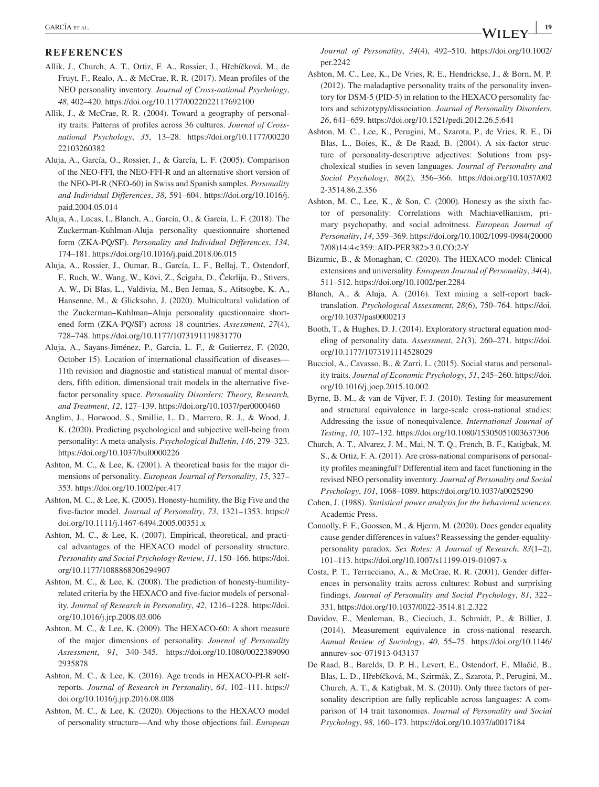#### **REFERENCES**

- Allik, J., Church, A. T., Ortiz, F. A., Rossier, J., Hřebíčková, M., de Fruyt, F., Realo, A., & McCrae, R. R. (2017). Mean profiles of the NEO personality inventory. *Journal of Cross-national Psychology*, *48*, 402–420. <https://doi.org/10.1177/0022022117692100>
- Allik, J., & McCrae, R. R. (2004). Toward a geography of personality traits: Patterns of profiles across 36 cultures. *Journal of Crossnational Psychology*, *35*, 13–28. [https://doi.org/10.1177/00220](https://doi.org/10.1177/0022022103260382) [22103260382](https://doi.org/10.1177/0022022103260382)
- Aluja, A., García, O., Rossier, J., & García, L. F. (2005). Comparison of the NEO-FFI, the NEO-FFI-R and an alternative short version of the NEO-PI-R (NEO-60) in Swiss and Spanish samples. *Personality and Individual Differences*, *38*, 591–604. [https://doi.org/10.1016/j.](https://doi.org/10.1016/j.paid.2004.05.014) [paid.2004.05.014](https://doi.org/10.1016/j.paid.2004.05.014)
- Aluja, A., Lucas, I., Blanch, A., García, O., & García, L. F. (2018). The Zuckerman-Kuhlman-Aluja personality questionnaire shortened form (ZKA-PQ/SF). *Personality and Individual Differences*, *134*, 174–181. <https://doi.org/10.1016/j.paid.2018.06.015>
- Aluja, A., Rossier, J., Oumar, B., García, L. F., Bellaj, T., Ostendorf, F., Ruch, W., Wang, W., Kövi, Z., Ścigała, D., Čekrlija, Đ., Stivers, A. W., Di Blas, L., Valdivia, M., Ben Jemaa, S., Atitsogbe, K. A., Hansenne, M., & Glicksohn, J. (2020). Multicultural validation of the Zuckerman–Kuhlman–Aluja personality questionnaire shortened form (ZKA-PQ/SF) across 18 countries. *Assessment*, *27*(4), 728–748. <https://doi.org/10.1177/1073191119831770>
- Aluja, A., Sayans-Jiménez, P., García, L. F., & Gutierrez, F. (2020, October 15). Location of international classification of diseases— 11th revision and diagnostic and statistical manual of mental disorders, fifth edition, dimensional trait models in the alternative fivefactor personality space. *Personality Disorders: Theory, Research, and Treatment*, *12*, 127–139. <https://doi.org/10.1037/per0000460>
- Anglim, J., Horwood, S., Smillie, L. D., Marrero, R. J., & Wood, J. K. (2020). Predicting psychological and subjective well-being from personality: A meta-analysis. *Psychological Bulletin*, *146*, 279–323. <https://doi.org/10.1037/bul0000226>
- Ashton, M. C., & Lee, K. (2001). A theoretical basis for the major dimensions of personality. *European Journal of Personality*, *15*, 327– 353. <https://doi.org/10.1002/per.417>
- Ashton, M. C., & Lee, K. (2005). Honesty-humility, the Big Five and the five-factor model. *Journal of Personality*, *73*, 1321–1353. [https://](https://doi.org/10.1111/j.1467-6494.2005.00351.x) [doi.org/10.1111/j.1467-6494.2005.00351.x](https://doi.org/10.1111/j.1467-6494.2005.00351.x)
- Ashton, M. C., & Lee, K. (2007). Empirical, theoretical, and practical advantages of the HEXACO model of personality structure. *Personality and Social Psychology Review*, *11*, 150–166. [https://doi.](https://doi.org/10.1177/1088868306294907) [org/10.1177/1088868306294907](https://doi.org/10.1177/1088868306294907)
- Ashton, M. C., & Lee, K. (2008). The prediction of honesty-humilityrelated criteria by the HEXACO and five-factor models of personality. *Journal of Research in Personality*, *42*, 1216–1228. [https://doi.](https://doi.org/10.1016/j.jrp.2008.03.006) [org/10.1016/j.jrp.2008.03.006](https://doi.org/10.1016/j.jrp.2008.03.006)
- Ashton, M. C., & Lee, K. (2009). The HEXACO-60: A short measure of the major dimensions of personality. *Journal of Personality Assessment*, *91*, 340–345. [https://doi.org/10.1080/0022389090](https://doi.org/10.1080/00223890902935878) [2935878](https://doi.org/10.1080/00223890902935878)
- Ashton, M. C., & Lee, K. (2016). Age trends in HEXACO-PI-R selfreports. *Journal of Research in Personality*, *64*, 102–111. [https://](https://doi.org/10.1016/j.jrp.2016.08.008) [doi.org/10.1016/j.jrp.2016.08.008](https://doi.org/10.1016/j.jrp.2016.08.008)
- Ashton, M. C., & Lee, K. (2020). Objections to the HEXACO model of personality structure—And why those objections fail. *European*

*Journal of Personality*, *34*(4), 492–510. [https://doi.org/10.1002/](https://doi.org/10.1002/per.2242) [per.2242](https://doi.org/10.1002/per.2242)

- Ashton, M. C., Lee, K., De Vries, R. E., Hendrickse, J., & Born, M. P. (2012). The maladaptive personality traits of the personality inventory for DSM-5 (PID-5) in relation to the HEXACO personality factors and schizotypy/dissociation. *Journal of Personality Disorders*, *26*, 641–659. <https://doi.org/10.1521/pedi.2012.26.5.641>
- Ashton, M. C., Lee, K., Perugini, M., Szarota, P., de Vries, R. E., Di Blas, L., Boies, K., & De Raad, B. (2004). A six-factor structure of personality-descriptive adjectives: Solutions from psycholexical studies in seven languages. *Journal of Personality and Social Psychology*, *86*(2), 356–366. [https://doi.org/10.1037/002](https://doi.org/10.1037/0022-3514.86.2.356) [2-3514.86.2.356](https://doi.org/10.1037/0022-3514.86.2.356)
- Ashton, M. C., Lee, K., & Son, C. (2000). Honesty as the sixth factor of personality: Correlations with Machiavellianism, primary psychopathy, and social adroitness. *European Journal of Personality*, *14*, 359–369. [https://doi.org/10.1002/1099-0984\(20000](https://doi.org/10.1002/1099-0984(200007/08)14:4%3C359::AID-PER382%3E3.0.CO;2-Y) [7/08\)14:4<359::AID-PER382>3.0.CO;2-Y](https://doi.org/10.1002/1099-0984(200007/08)14:4%3C359::AID-PER382%3E3.0.CO;2-Y)
- Bizumic, B., & Monaghan, C. (2020). The HEXACO model: Clinical extensions and universality. *European Journal of Personality*, *34*(4), 511–512. <https://doi.org/10.1002/per.2284>
- Blanch, A., & Aluja, A. (2016). Text mining a self-report backtranslation. *Psychological Assessment*, *28*(6), 750–764. [https://doi.](https://doi.org/10.1037/pas0000213) [org/10.1037/pas0000213](https://doi.org/10.1037/pas0000213)
- Booth, T., & Hughes, D. J. (2014). Exploratory structural equation modeling of personality data. *Assessment*, *21*(3), 260–271. [https://doi.](https://doi.org/10.1177/1073191114528029) [org/10.1177/1073191114528029](https://doi.org/10.1177/1073191114528029)
- Bucciol, A., Cavasso, B., & Zarri, L. (2015). Social status and personality traits. *Journal of Economic Psychology*, *51*, 245–260. [https://doi.](https://doi.org/10.1016/j.joep.2015.10.002) [org/10.1016/j.joep.2015.10.002](https://doi.org/10.1016/j.joep.2015.10.002)
- Byrne, B. M., & van de Vijver, F. J. (2010). Testing for measurement and structural equivalence in large-scale cross-national studies: Addressing the issue of nonequivalence. *International Journal of Testing*, *10*, 107–132.<https://doi.org/10.1080/15305051003637306>
- Church, A. T., Alvarez, J. M., Mai, N. T. Q., French, B. F., Katigbak, M. S., & Ortiz, F. A. (2011). Are cross-national comparisons of personality profiles meaningful? Differential item and facet functioning in the revised NEO personality inventory. *Journal of Personality and Social Psychology*, *101*, 1068–1089.<https://doi.org/10.1037/a0025290>
- Cohen, J. (1988). *Statistical power analysis for the behavioral sciences*. Academic Press.
- Connolly, F. F., Goossen, M., & Hjerm, M. (2020). Does gender equality cause gender differences in values? Reassessing the gender-equalitypersonality paradox. *Sex Roles: A Journal of Research*, *83*(1–2), 101–113. <https://doi.org/10.1007/s11199-019-01097-x>
- Costa, P. T., Terracciano, A., & McCrae, R. R. (2001). Gender differences in personality traits across cultures: Robust and surprising findings. *Journal of Personality and Social Psychology*, *81*, 322– 331. <https://doi.org/10.1037/0022-3514.81.2.322>
- Davidov, E., Meuleman, B., Cieciuch, J., Schmidt, P., & Billiet, J. (2014). Measurement equivalence in cross-national research. *Annual Review of Sociology*, *40*, 55–75. [https://doi.org/10.1146/](https://doi.org/10.1146/annurev-soc-071913-043137) [annurev-soc-071913-043137](https://doi.org/10.1146/annurev-soc-071913-043137)
- De Raad, B., Barelds, D. P. H., Levert, E., Ostendorf, F., Mlačić, B., Blas, L. D., Hřebíčková, M., Szirmák, Z., Szarota, P., Perugini, M., Church, A. T., & Katigbak, M. S. (2010). Only three factors of personality description are fully replicable across languages: A comparison of 14 trait taxonomies. *Journal of Personality and Social Psychology*, *98*, 160–173. <https://doi.org/10.1037/a0017184>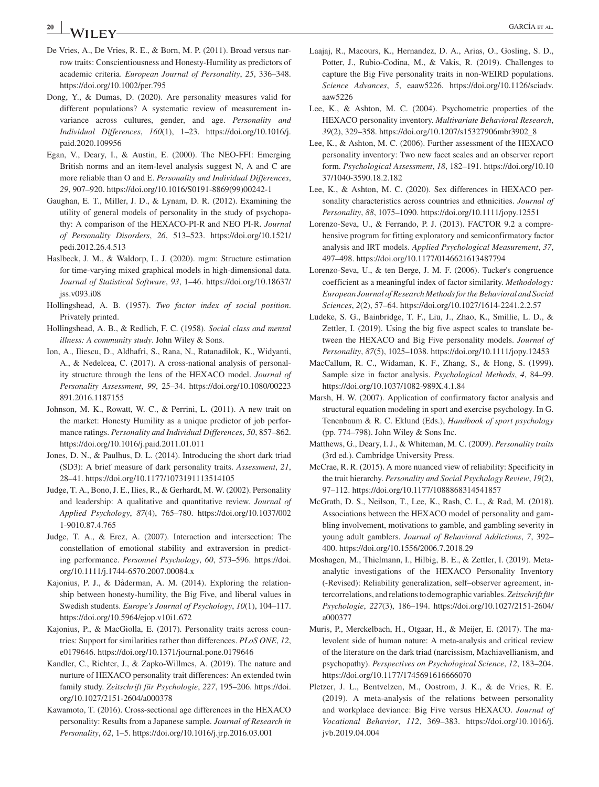## **<sup>20</sup> <sup>|</sup>** GARCÍA et al.

- De Vries, A., De Vries, R. E., & Born, M. P. (2011). Broad versus narrow traits: Conscientiousness and Honesty-Humility as predictors of academic criteria. *European Journal of Personality*, *25*, 336–348. <https://doi.org/10.1002/per.795>
- Dong, Y., & Dumas, D. (2020). Are personality measures valid for different populations? A systematic review of measurement invariance across cultures, gender, and age. *Personality and Individual Differences*, *160*(1), 1–23. [https://doi.org/10.1016/j.](https://doi.org/10.1016/j.paid.2020.109956) [paid.2020.109956](https://doi.org/10.1016/j.paid.2020.109956)
- Egan, V., Deary, I., & Austin, E. (2000). The NEO-FFI: Emerging British norms and an item-level analysis suggest N, A and C are more reliable than O and E. *Personality and Individual Differences*, *29*, 907–920. [https://doi.org/10.1016/S0191-8869\(99\)00242-1](https://doi.org/10.1016/S0191-8869(99)00242-1)
- Gaughan, E. T., Miller, J. D., & Lynam, D. R. (2012). Examining the utility of general models of personality in the study of psychopathy: A comparison of the HEXACO-PI-R and NEO PI-R. *Journal of Personality Disorders*, *26*, 513–523. [https://doi.org/10.1521/](https://doi.org/10.1521/pedi.2012.26.4.513) [pedi.2012.26.4.513](https://doi.org/10.1521/pedi.2012.26.4.513)
- Haslbeck, J. M., & Waldorp, L. J. (2020). mgm: Structure estimation for time-varying mixed graphical models in high-dimensional data. *Journal of Statistical Software*, *93*, 1–46. [https://doi.org/10.18637/](https://doi.org/10.18637/jss.v093.i08) [jss.v093.i08](https://doi.org/10.18637/jss.v093.i08)
- Hollingshead, A. B. (1957). *Two factor index of social position*. Privately printed.
- Hollingshead, A. B., & Redlich, F. C. (1958). *Social class and mental illness: A community study*. John Wiley & Sons.
- Ion, A., Iliescu, D., Aldhafri, S., Rana, N., Ratanadilok, K., Widyanti, A., & Nedelcea, C. (2017). A cross-national analysis of personality structure through the lens of the HEXACO model. *Journal of Personality Assessment*, *99*, 25–34. [https://doi.org/10.1080/00223](https://doi.org/10.1080/00223891.2016.1187155) [891.2016.1187155](https://doi.org/10.1080/00223891.2016.1187155)
- Johnson, M. K., Rowatt, W. C., & Perrini, L. (2011). A new trait on the market: Honesty Humility as a unique predictor of job performance ratings. *Personality and Individual Differences*, *50*, 857–862. <https://doi.org/10.1016/j.paid.2011.01.011>
- Jones, D. N., & Paulhus, D. L. (2014). Introducing the short dark triad (SD3): A brief measure of dark personality traits. *Assessment*, *21*, 28–41. <https://doi.org/10.1177/1073191113514105>
- Judge, T. A., Bono, J. E., Ilies, R., & Gerhardt, M. W. (2002). Personality and leadership: A qualitative and quantitative review. *Journal of Applied Psychology*, *87*(4), 765–780. [https://doi.org/10.1037/002](https://doi.org/10.1037/0021-9010.87.4.765) [1-9010.87.4.765](https://doi.org/10.1037/0021-9010.87.4.765)
- Judge, T. A., & Erez, A. (2007). Interaction and intersection: The constellation of emotional stability and extraversion in predicting performance. *Personnel Psychology*, *60*, 573–596. [https://doi.](https://doi.org/10.1111/j.1744-6570.2007.00084.x) [org/10.1111/j.1744-6570.2007.00084.x](https://doi.org/10.1111/j.1744-6570.2007.00084.x)
- Kajonius, P. J., & Dåderman, A. M. (2014). Exploring the relationship between honesty-humility, the Big Five, and liberal values in Swedish students. *Europe's Journal of Psychology*, *10*(1), 104–117. <https://doi.org/10.5964/ejop.v10i1.672>
- Kajonius, P., & MacGiolla, E. (2017). Personality traits across countries: Support for similarities rather than differences. *PLoS ONE*, *12*, e0179646.<https://doi.org/10.1371/journal.pone.0179646>
- Kandler, C., Richter, J., & Zapko-Willmes, A. (2019). The nature and nurture of HEXACO personality trait differences: An extended twin family study. *Zeitschrift für Psychologie*, *227*, 195–206. [https://doi.](https://doi.org/10.1027/2151-2604/a000378) [org/10.1027/2151-2604/a000378](https://doi.org/10.1027/2151-2604/a000378)
- Kawamoto, T. (2016). Cross-sectional age differences in the HEXACO personality: Results from a Japanese sample. *Journal of Research in Personality*, *62*, 1–5.<https://doi.org/10.1016/j.jrp.2016.03.001>
- Laajaj, R., Macours, K., Hernandez, D. A., Arias, O., Gosling, S. D., Potter, J., Rubio-Codina, M., & Vakis, R. (2019). Challenges to capture the Big Five personality traits in non-WEIRD populations. *Science Advances*, *5*, eaaw5226. [https://doi.org/10.1126/sciadv.](https://doi.org/10.1126/sciadv.aaw5226) [aaw5226](https://doi.org/10.1126/sciadv.aaw5226)
- Lee, K., & Ashton, M. C. (2004). Psychometric properties of the HEXACO personality inventory. *Multivariate Behavioral Research*, *39*(2), 329–358. [https://doi.org/10.1207/s15327906mbr3902\\_8](https://doi.org/10.1207/s15327906mbr3902_8)
- Lee, K., & Ashton, M. C. (2006). Further assessment of the HEXACO personality inventory: Two new facet scales and an observer report form. *Psychological Assessment*, *18*, 182–191. [https://doi.org/10.10](https://doi.org/10.1037/1040-3590.18.2.182) [37/1040-3590.18.2.182](https://doi.org/10.1037/1040-3590.18.2.182)
- Lee, K., & Ashton, M. C. (2020). Sex differences in HEXACO personality characteristics across countries and ethnicities. *Journal of Personality*, *88*, 1075–1090. <https://doi.org/10.1111/jopy.12551>
- Lorenzo-Seva, U., & Ferrando, P. J. (2013). FACTOR 9.2 a comprehensive program for fitting exploratory and semiconfirmatory factor analysis and IRT models. *Applied Psychological Measurement*, *37*, 497–498. <https://doi.org/10.1177/0146621613487794>
- Lorenzo-Seva, U., & ten Berge, J. M. F. (2006). Tucker's congruence coefficient as a meaningful index of factor similarity. *Methodology: European Journal of Research Methods for the Behavioral and Social Sciences*, *2*(2), 57–64. <https://doi.org/10.1027/1614-2241.2.2.57>
- Ludeke, S. G., Bainbridge, T. F., Liu, J., Zhao, K., Smillie, L. D., & Zettler, I. (2019). Using the big five aspect scales to translate between the HEXACO and Big Five personality models. *Journal of Personality*, *87*(5), 1025–1038.<https://doi.org/10.1111/jopy.12453>
- MacCallum, R. C., Widaman, K. F., Zhang, S., & Hong, S. (1999). Sample size in factor analysis. *Psychological Methods*, *4*, 84–99. <https://doi.org/10.1037/1082-989X.4.1.84>
- Marsh, H. W. (2007). Application of confirmatory factor analysis and structural equation modeling in sport and exercise psychology. In G. Tenenbaum & R. C. Eklund (Eds.), *Handbook of sport psychology* (pp. 774–798). John Wiley & Sons Inc.
- Matthews, G., Deary, I. J., & Whiteman, M. C. (2009). *Personality traits* (3rd ed.). Cambridge University Press.
- McCrae, R. R. (2015). A more nuanced view of reliability: Specificity in the trait hierarchy. *Personality and Social Psychology Review*, *19*(2), 97–112.<https://doi.org/10.1177/1088868314541857>
- McGrath, D. S., Neilson, T., Lee, K., Rash, C. L., & Rad, M. (2018). Associations between the HEXACO model of personality and gambling involvement, motivations to gamble, and gambling severity in young adult gamblers. *Journal of Behavioral Addictions*, *7*, 392– 400. <https://doi.org/10.1556/2006.7.2018.29>
- Moshagen, M., Thielmann, I., Hilbig, B. E., & Zettler, I. (2019). Metaanalytic investigations of the HEXACO Personality Inventory (-Revised): Reliability generalization, self–observer agreement, intercorrelations, and relations to demographic variables. *Zeitschrift für Psychologie*, *227*(3), 186–194. [https://doi.org/10.1027/2151-2604/](https://doi.org/10.1027/2151-2604/a000377) [a000377](https://doi.org/10.1027/2151-2604/a000377)
- Muris, P., Merckelbach, H., Otgaar, H., & Meijer, E. (2017). The malevolent side of human nature: A meta-analysis and critical review of the literature on the dark triad (narcissism, Machiavellianism, and psychopathy). *Perspectives on Psychological Science*, *12*, 183–204. <https://doi.org/10.1177/1745691616666070>
- Pletzer, J. L., Bentvelzen, M., Oostrom, J. K., & de Vries, R. E. (2019). A meta-analysis of the relations between personality and workplace deviance: Big Five versus HEXACO. *Journal of Vocational Behavior*, *112*, 369–383. [https://doi.org/10.1016/j.](https://doi.org/10.1016/j.jvb.2019.04.004) [jvb.2019.04.004](https://doi.org/10.1016/j.jvb.2019.04.004)